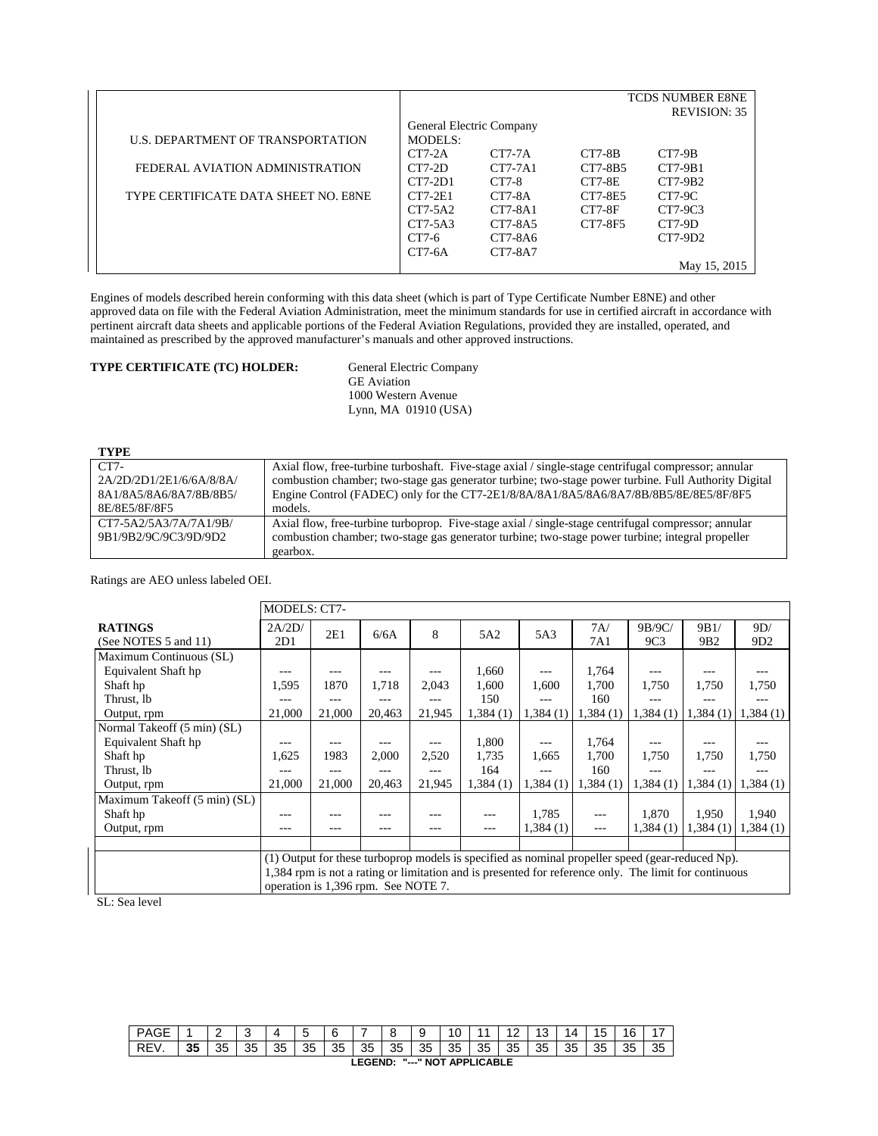|                                      |           |                          |          | <b>TCDS NUMBER E8NE</b> |
|--------------------------------------|-----------|--------------------------|----------|-------------------------|
|                                      |           |                          |          | <b>REVISION: 35</b>     |
|                                      |           | General Electric Company |          |                         |
| U.S. DEPARTMENT OF TRANSPORTATION    | MODELS:   |                          |          |                         |
|                                      | $CT7-2A$  | $CT7-7A$                 | $CT7-8B$ | $CT7-9B$                |
| FEDERAL AVIATION ADMINISTRATION      | $CT7-2D$  | $CT7-7A1$                | CT7-8B5  | $CT7-9B1$               |
|                                      | $CT7-2D1$ | CT7-8                    | $CT7-8E$ | $CT7-9B2$               |
| TYPE CERTIFICATE DATA SHEET NO. E8NE | $CT7-2E1$ | $CT7-8A$                 | CT7-8E5  | $CT7-9C$                |
|                                      | $CT7-5A2$ | $CT7-8A1$                | $CT7-8F$ | CT7-9C3                 |
|                                      | $CT7-5A3$ | CT7-8A5                  | CT7-8F5  | $CT7-9D$                |
|                                      | CT7-6     | $CT7-8A6$                |          | $CT7-9D2$               |
|                                      | $CT7-6A$  | CT7-8A7                  |          |                         |
|                                      |           |                          |          | May 15, 2015            |

Engines of models described herein conforming with this data sheet (which is part of Type Certificate Number E8NE) and other approved data on file with the Federal Aviation Administration, meet the minimum standards for use in certified aircraft in accordance with pertinent aircraft data sheets and applicable portions of the Federal Aviation Regulations, provided they are installed, operated, and maintained as prescribed by the approved manufacturer's manuals and other approved instructions.

# TYPE CERTIFICATE (TC) HOLDER:

General Electric Company<br>GE Aviation 1000 Western Avenue Lynn, MA 01910 (USA)

| TYPE                     |                                                                                                      |
|--------------------------|------------------------------------------------------------------------------------------------------|
| $CT7-$                   | Axial flow, free-turbine turboshaft. Five-stage axial / single-stage centrifugal compressor; annular |
| 2A/2D/2D1/2E1/6/6A/8/8A/ | combustion chamber; two-stage gas generator turbine; two-stage power turbine. Full Authority Digital |
| 8A1/8A5/8A6/8A7/8B/8B5/  | Engine Control (FADEC) only for the CT7-2E1/8/8A/8A1/8A5/8A6/8A7/8B/8B5/8E/8E5/8F/8F5                |
| 8E/8E5/8F/8F5            | models.                                                                                              |
| CT7-5A2/5A3/7A/7A1/9B/   | Axial flow, free-turbine turboprop. Five-stage axial / single-stage centrifugal compressor; annular  |
| 9B1/9B2/9C/9C3/9D/9D2    | combustion chamber; two-stage gas generator turbine; two-stage power turbine; integral propeller     |
|                          | gearbox.                                                                                             |

Ratings are AEO unless labeled OEI.

|                              | <b>MODELS: CT7-</b>                                                                                                                                                                                                                              |        |        |        |          |           |          |                 |                 |          |
|------------------------------|--------------------------------------------------------------------------------------------------------------------------------------------------------------------------------------------------------------------------------------------------|--------|--------|--------|----------|-----------|----------|-----------------|-----------------|----------|
| <b>RATINGS</b>               | 2A/2D/                                                                                                                                                                                                                                           | 2E1    | 6/6A   | 8      | 5A2      | 5A3       | 7A/      | 9B/9C/          | 9B1/            | 9D/      |
| (See NOTES 5 and 11)         | 2D1                                                                                                                                                                                                                                              |        |        |        |          |           | 7A1      | 9C <sub>3</sub> | 9B <sub>2</sub> | 9D2      |
| Maximum Continuous (SL)      |                                                                                                                                                                                                                                                  |        |        |        |          |           |          |                 |                 |          |
| Equivalent Shaft hp          | ---                                                                                                                                                                                                                                              |        | ---    |        | 1.660    | ---       | 1,764    | ---             |                 |          |
| Shaft hp                     | 1,595                                                                                                                                                                                                                                            | 1870   | 1,718  | 2.043  | 1.600    | 1.600     | 1.700    | 1.750           | 1.750           | 1,750    |
| Thrust, lb                   |                                                                                                                                                                                                                                                  |        | ---    |        | 150      |           | 160      |                 |                 |          |
| Output, rpm                  | 21,000                                                                                                                                                                                                                                           | 21,000 | 20,463 | 21,945 | 1,384(1) | 1,384(1)  | 1,384(1) | 1,384(1)        | 1,384(1)        | 1,384(1) |
| Normal Takeoff (5 min) (SL)  |                                                                                                                                                                                                                                                  |        |        |        |          |           |          |                 |                 |          |
| Equivalent Shaft hp          |                                                                                                                                                                                                                                                  |        |        |        | 1,800    | ---       | 1,764    |                 |                 |          |
| Shaft hp                     | 1,625                                                                                                                                                                                                                                            | 1983   | 2,000  | 2,520  | 1,735    | 1.665     | 1,700    | 1,750           | 1,750           | 1,750    |
| Thrust, lb                   |                                                                                                                                                                                                                                                  |        |        |        | 164      |           | 160      |                 |                 |          |
| Output, rpm                  | 21,000                                                                                                                                                                                                                                           | 21,000 | 20,463 | 21,945 | 1,384(1) | 1,384 (1) | 1,384(1) | 1,384(1)        | 1,384(1)        | 1.384(1) |
| Maximum Takeoff (5 min) (SL) |                                                                                                                                                                                                                                                  |        |        |        |          |           |          |                 |                 |          |
| Shaft hp                     |                                                                                                                                                                                                                                                  |        |        |        |          | 1.785     | ---      | 1.870           | 1.950           | 1.940    |
| Output, rpm                  |                                                                                                                                                                                                                                                  |        |        |        | $---$    | 1,384(1)  | $---$    | 1.384(1)        | 1.384(1)        | 1,384(1) |
|                              |                                                                                                                                                                                                                                                  |        |        |        |          |           |          |                 |                 |          |
|                              | (1) Output for these turboprop models is specified as nominal propeller speed (gear-reduced Np).<br>1,384 rpm is not a rating or limitation and is presented for reference only. The limit for continuous<br>operation is 1,396 rpm. See NOTE 7. |        |        |        |          |           |          |                 |                 |          |

SL: Sea level

| PAGE                                             |    | -        | w        |    | ∽<br>w | а<br>⊾ | -  | $\circ$<br>Ö | 9  | 10 | $\overline{A}$ |    | ບ  | $\Delta$ | . Б<br>N | 16       |           |
|--------------------------------------------------|----|----------|----------|----|--------|--------|----|--------------|----|----|----------------|----|----|----------|----------|----------|-----------|
| REV.                                             | 35 | つに<br>ບບ | つら<br>ບບ | 35 | 35     | 35     | 35 | 35           | 35 | 35 | 35             | 35 | 35 | 35       | 35       | つら<br>J. | つら<br>ن ت |
| <b>APPLICABLE</b><br>"---" NOT<br><b>LEGEND:</b> |    |          |          |    |        |        |    |              |    |    |                |    |    |          |          |          |           |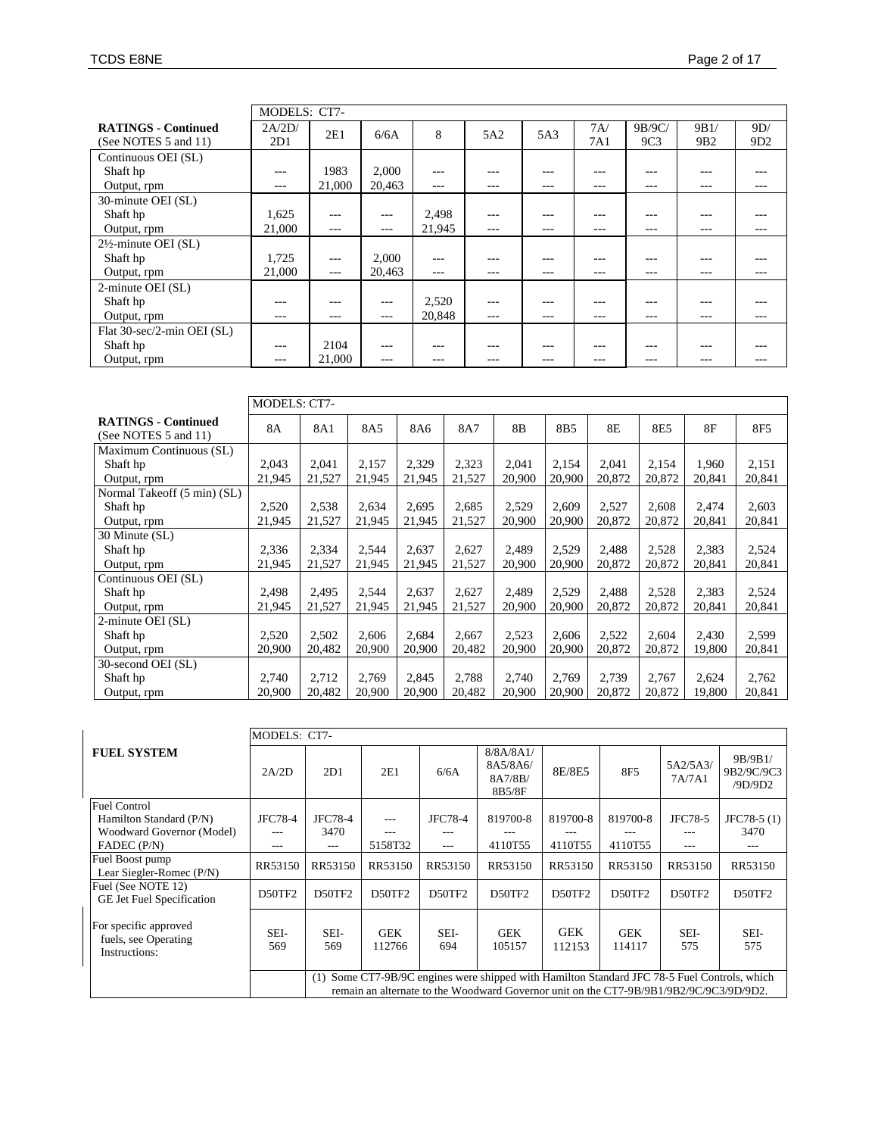|                                 |         | MODELS: CT7- |        |         |       |         |         |                 |                 |                 |  |  |
|---------------------------------|---------|--------------|--------|---------|-------|---------|---------|-----------------|-----------------|-----------------|--|--|
| <b>RATINGS - Continued</b>      | 2A/2D/  | 2E1          | 6/6A   | 8       | 5A2   | 5A3     | 7A/     | 9B/9C/          | 9B1/            | 9D/             |  |  |
| (See NOTES 5 and 11)            | 2D1     |              |        |         |       |         | 7A1     | 9C <sub>3</sub> | 9B <sub>2</sub> | 9D <sub>2</sub> |  |  |
| Continuous OEI (SL)             |         |              |        |         |       |         |         |                 |                 |                 |  |  |
| Shaft hp                        | $---$   | 1983         | 2,000  | $---$   | ---   | $- - -$ | $- - -$ | ---             | ---             | ---             |  |  |
| Output, rpm                     | $- - -$ | 21,000       | 20,463 | $- - -$ | $---$ | $---$   | $- - -$ | $---$           | $- - -$         | $- - -$         |  |  |
| 30-minute OEI (SL)              |         |              |        |         |       |         |         |                 |                 |                 |  |  |
| Shaft hp                        | 1,625   | $---$        | $---$  | 2,498   | ---   | $- - -$ | $- - -$ | ---             | ---             |                 |  |  |
| Output, rpm                     | 21,000  | $---$        | $---$  | 21.945  | ---   | $- - -$ | $- - -$ | ---             | $- - -$         | ---             |  |  |
| $2\frac{1}{2}$ -minute OEI (SL) |         |              |        |         |       |         |         |                 |                 |                 |  |  |
| Shaft hp                        | 1,725   | $---$        | 2,000  | $- - -$ | ---   | $- - -$ | $- - -$ |                 |                 |                 |  |  |
| Output, rpm                     | 21,000  | $---$        | 20,463 | $---$   | $---$ | $---$   | $- - -$ | $- - -$         | $- - -$         | ---             |  |  |
| 2-minute OEI (SL)               |         |              |        |         |       |         |         |                 |                 |                 |  |  |
| Shaft hp                        | ---     |              | $---$  | 2,520   | ---   | $- - -$ | $- - -$ |                 |                 |                 |  |  |
| Output, rpm                     | $- - -$ | $---$        | $---$  | 20,848  | $---$ | $- - -$ | $---$   | ---             | $- - -$         | ---             |  |  |
| Flat 30-sec/2-min OEI (SL)      |         |              |        |         |       |         |         |                 |                 |                 |  |  |
| Shaft hp                        | $- - -$ | 2104         | ---    | $- - -$ | ---   | $- - -$ | $---$   | ---             |                 | ---             |  |  |
| Output, rpm                     | $---$   | 21.000       | $---$  | $- - -$ | ---   | $- - -$ | $- - -$ | ---             | $- - -$         | ---             |  |  |

|                                                    | <b>MODELS: CT7-</b> |        |        |        |        |        |                 |        |        |        |                 |
|----------------------------------------------------|---------------------|--------|--------|--------|--------|--------|-----------------|--------|--------|--------|-----------------|
| <b>RATINGS - Continued</b><br>(See NOTES 5 and 11) | <b>8A</b>           | 8A1    | 8A5    | 8A6    | 8A7    | 8B     | 8B <sub>5</sub> | 8E     | 8E5    | 8F     | 8F <sub>5</sub> |
| Maximum Continuous (SL)                            |                     |        |        |        |        |        |                 |        |        |        |                 |
| Shaft hp                                           | 2.043               | 2.041  | 2.157  | 2,329  | 2,323  | 2.041  | 2,154           | 2.041  | 2,154  | 1.960  | 2,151           |
| Output, rpm                                        | 21,945              | 21,527 | 21,945 | 21,945 | 21,527 | 20,900 | 20,900          | 20.872 | 20,872 | 20.841 | 20,841          |
| Normal Takeoff (5 min) (SL)                        |                     |        |        |        |        |        |                 |        |        |        |                 |
| Shaft hp                                           | 2,520               | 2,538  | 2,634  | 2,695  | 2,685  | 2,529  | 2,609           | 2,527  | 2,608  | 2,474  | 2,603           |
| Output, rpm                                        | 21,945              | 21,527 | 21,945 | 21,945 | 21,527 | 20,900 | 20,900          | 20,872 | 20,872 | 20,841 | 20,841          |
| 30 Minute (SL)                                     |                     |        |        |        |        |        |                 |        |        |        |                 |
| Shaft hp                                           | 2,336               | 2,334  | 2,544  | 2,637  | 2,627  | 2,489  | 2,529           | 2,488  | 2,528  | 2,383  | 2,524           |
| Output, rpm                                        | 21,945              | 21,527 | 21,945 | 21,945 | 21,527 | 20,900 | 20,900          | 20,872 | 20,872 | 20,841 | 20,841          |
| Continuous OEI (SL)                                |                     |        |        |        |        |        |                 |        |        |        |                 |
| Shaft hp                                           | 2.498               | 2.495  | 2.544  | 2,637  | 2,627  | 2.489  | 2,529           | 2.488  | 2,528  | 2,383  | 2,524           |
| Output, rpm                                        | 21,945              | 21,527 | 21,945 | 21,945 | 21,527 | 20,900 | 20,900          | 20.872 | 20,872 | 20,841 | 20,841          |
| 2-minute OEI (SL)                                  |                     |        |        |        |        |        |                 |        |        |        |                 |
| Shaft hp                                           | 2,520               | 2,502  | 2,606  | 2,684  | 2,667  | 2,523  | 2,606           | 2,522  | 2.604  | 2,430  | 2,599           |
| Output, rpm                                        | 20,900              | 20,482 | 20,900 | 20,900 | 20,482 | 20,900 | 20,900          | 20,872 | 20,872 | 19,800 | 20,841          |
| 30-second OEI (SL)                                 |                     |        |        |        |        |        |                 |        |        |        |                 |
| Shaft hp                                           | 2,740               | 2,712  | 2,769  | 2,845  | 2,788  | 2,740  | 2,769           | 2,739  | 2,767  | 2,624  | 2,762           |
| Output, rpm                                        | 20,900              | 20,482 | 20,900 | 20,900 | 20,482 | 20,900 | 20,900          | 20,872 | 20,872 | 19,800 | 20,841          |

|                                                                             | MODELS: CT7-   |                                                                                                                                                                                           |                      |                |                                            |                      |                      |                    |                                  |  |
|-----------------------------------------------------------------------------|----------------|-------------------------------------------------------------------------------------------------------------------------------------------------------------------------------------------|----------------------|----------------|--------------------------------------------|----------------------|----------------------|--------------------|----------------------------------|--|
| <b>FUEL SYSTEM</b>                                                          | 2A/2D          | 2D1                                                                                                                                                                                       | 2E1                  | 6/6A           | 8/8A/8A1/<br>8A5/8A6/<br>8A7/8B/<br>8B5/8F | 8E/8E5               | 8F <sub>5</sub>      | 5A2/5A3/<br>7A/7A1 | 9B/9B1/<br>9B2/9C/9C3<br>/9D/9D2 |  |
| <b>Fuel Control</b><br>Hamilton Standard (P/N)<br>Woodward Governor (Model) | JFC78-4<br>--- | JFC78-4<br>3470                                                                                                                                                                           | ---<br>---           | JFC78-4<br>--- | 819700-8                                   | 819700-8             | 819700-8             | JFC78-5<br>---     | $JFC78-5(1)$<br>3470             |  |
| FADEC (P/N)                                                                 | ---            | $- - -$                                                                                                                                                                                   | 5158T32              | $- - -$        | 4110T55                                    | 4110T55              | 4110T55              | $- - -$            | $- - -$                          |  |
| Fuel Boost pump<br>Lear Siegler-Romec (P/N)                                 | RR53150        | RR53150                                                                                                                                                                                   | RR53150              | RR53150        | RR53150                                    | RR53150              | RR53150              | RR53150            | RR53150                          |  |
| Fuel (See NOTE 12)<br>GE Jet Fuel Specification                             | D50TF2         | D50TF2                                                                                                                                                                                    | D50TF2               | D50TF2         | D50TF2                                     | D50TF2               | D50TF2               | D50TF2             | D50TF2                           |  |
| For specific approved<br>fuels, see Operating<br>Instructions:              | SEI-<br>569    | SEI-<br>569                                                                                                                                                                               | <b>GEK</b><br>112766 | SEI-<br>694    | <b>GEK</b><br>105157                       | <b>GEK</b><br>112153 | <b>GEK</b><br>114117 | SEI-<br>575        | SEI-<br>575                      |  |
|                                                                             |                | Some CT7-9B/9C engines were shipped with Hamilton Standard JFC 78-5 Fuel Controls, which<br>(1)<br>remain an alternate to the Woodward Governor unit on the CT7-9B/9B1/9B2/9C/9C3/9D/9D2. |                      |                |                                            |                      |                      |                    |                                  |  |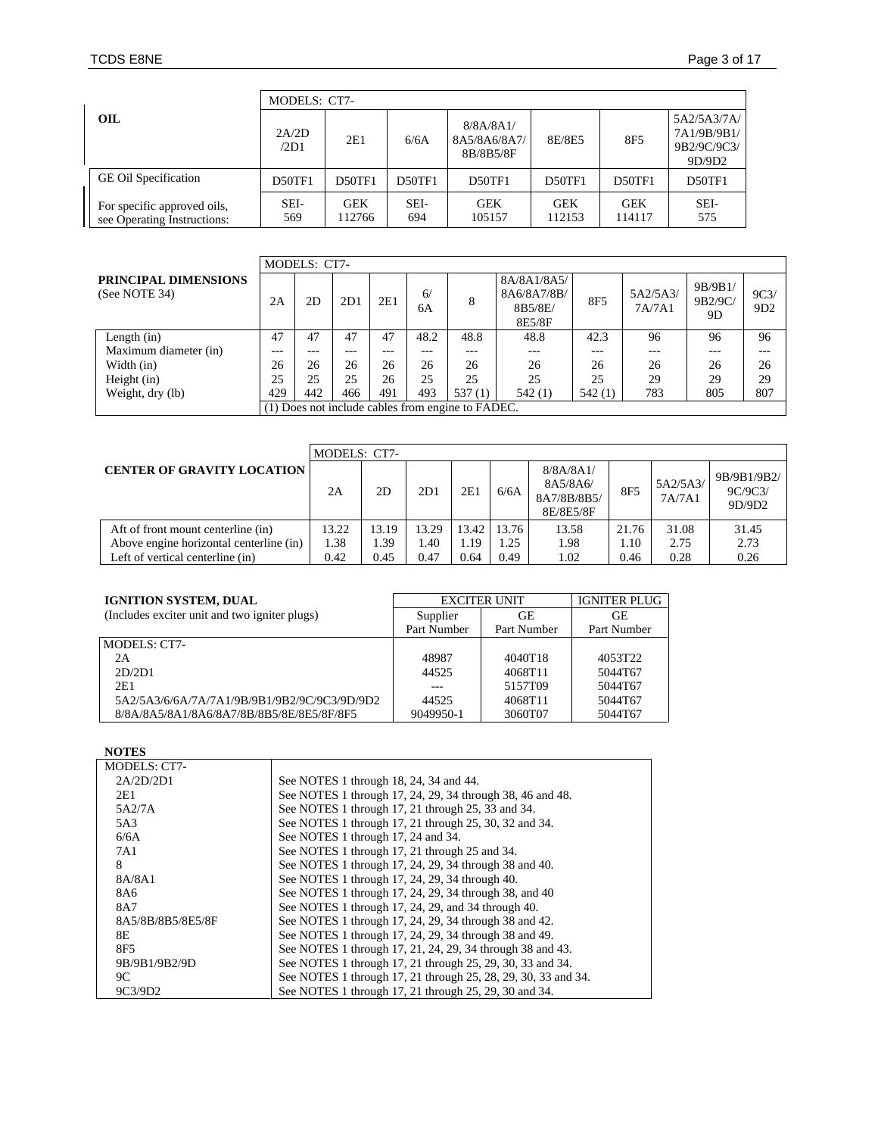|                                                            | MODELS: CT7-  |                      |             |                                        |                      |                      |                                                     |  |  |  |  |  |
|------------------------------------------------------------|---------------|----------------------|-------------|----------------------------------------|----------------------|----------------------|-----------------------------------------------------|--|--|--|--|--|
| OIL                                                        | 2A/2D<br>/2D1 | 2E1                  | 6/6A        | 8/8A/8A1/<br>8A5/8A6/8A7/<br>8B/8B5/8F | 8E/8E5               | 8F5                  | 5A2/5A3/7A/<br>7A1/9B/9B1/<br>9B2/9C/9C3/<br>9D/9D2 |  |  |  |  |  |
| <b>GE Oil Specification</b>                                | D50TF1        | <b>D50TF1</b>        | D50TF1      | <b>D50TF1</b>                          | D50TF1               | <b>D50TF1</b>        | D50TF1                                              |  |  |  |  |  |
| For specific approved oils,<br>see Operating Instructions: | SEI-<br>569   | <b>GEK</b><br>112766 | SEI-<br>694 | <b>GEK</b><br>105157                   | <b>GEK</b><br>112153 | <b>GEK</b><br>114117 | SEI-<br>575                                         |  |  |  |  |  |

|                                       |       | MODELS: CT7-                                      |     |     |          |        |                                                 |        |                    |                          |                          |
|---------------------------------------|-------|---------------------------------------------------|-----|-----|----------|--------|-------------------------------------------------|--------|--------------------|--------------------------|--------------------------|
| PRINCIPAL DIMENSIONS<br>(See NOTE 34) | 2A    | 2D                                                | 2D1 | 2E1 | 6/<br>6A | 8      | 8A/8A1/8A5/<br>8A6/8A7/8B/<br>8B5/8E/<br>8E5/8F | 8F5    | 5A2/5A3/<br>7A/7A1 | 9B/9B1/<br>9B2/9C/<br>9D | 9C3/<br>9 <sub>D</sub> 2 |
| Length (in)                           | 47    | 47                                                | 47  | 47  | 48.2     | 48.8   | 48.8                                            | 42.3   | 96                 | 96                       | 96                       |
| Maximum diameter (in)                 | $---$ | ---                                               | --- | --- | $---$    | ---    | $---$                                           | ---    | ---                | $\qquad \qquad -$        | ---                      |
| Width $(in)$                          | 26    | 26                                                | 26  | 26  | 26       | 26     | 26                                              | 26     | 26                 | 26                       | 26                       |
| Height (in)                           | 25    | 25                                                | 25  | 26  | 25       | 25     | 25                                              | 25     | 29                 | 29                       | 29                       |
| Weight, dry (lb)                      | 429   | 442                                               | 466 | 491 | 493      | 537(1) | 542(1)                                          | 542(1) | 783                | 805                      | 807                      |
|                                       |       | (1) Does not include cables from engine to FADEC. |     |     |          |        |                                                 |        |                    |                          |                          |

|                                         | MODELS: CT7- |       |       |       |       |                                                   |       |                    |                                  |  |  |  |
|-----------------------------------------|--------------|-------|-------|-------|-------|---------------------------------------------------|-------|--------------------|----------------------------------|--|--|--|
| <b>CENTER OF GRAVITY LOCATION</b>       | 2A           | 2D    | 2D1   | 2E1   | 6/6A  | 8/8A/8A1/<br>8A5/8A6/<br>8A7/8B/8B5/<br>8E/8E5/8F | 8F5   | 5A2/5A3/<br>7A/7A1 | 9B/9B1/9B2/<br>9C/9C3/<br>9D/9D2 |  |  |  |
| Aft of front mount centerline (in)      | 13.22        | 13.19 | 13.29 | 13.42 | 13.76 | 13.58                                             | 21.76 | 31.08              | 31.45                            |  |  |  |
| Above engine horizontal centerline (in) | 1.38         | 1.39  | 1.40  | 1.19  | 1.25  | 1.98                                              | 1.10  | 2.75               | 2.73                             |  |  |  |
| Left of vertical centerline (in)        | 0.42         | 0.45  | 0.47  | 0.64  | 0.49  | 1.02                                              | 0.46  | 0.28               | 0.26                             |  |  |  |

# **IGNITION SYSTEM, DUAL**

| <b>IGNITION SYSTEM, DUAL</b>                  |             | <b>EXCITER UNIT</b> | <b>IGNITER PLUG</b> |
|-----------------------------------------------|-------------|---------------------|---------------------|
| (Includes exciter unit and two igniter plugs) | Supplier    | GЕ                  | GЕ                  |
|                                               | Part Number | Part Number         | Part Number         |
| MODELS: CT7-                                  |             |                     |                     |
| 2A                                            | 48987       | 4040T18             | 4053T22             |
| 2D/2D1                                        | 44525       | 4068T11             | 5044T67             |
| 2E1                                           |             | 5157T09             | 5044T67             |
| 5A2/5A3/6/6A/7A/7A1/9B/9B1/9B2/9C/9C3/9D/9D2  | 44525       | 4068T11             | 5044T67             |
| 8/8A/8A5/8A1/8A6/8A7/8B/8B5/8E/8E5/8F/8F5     | 9049950-1   | 3060T07             | 5044T67             |

# **NOTES**

| <b>MODELS: CT7-</b> |                                                               |
|---------------------|---------------------------------------------------------------|
| 2A/2D/2D1           | See NOTES 1 through 18, 24, 34 and 44.                        |
| 2E1                 | See NOTES 1 through 17, 24, 29, 34 through 38, 46 and 48.     |
| 5A2/7A              | See NOTES 1 through 17, 21 through 25, 33 and 34.             |
| 5A3                 | See NOTES 1 through 17, 21 through 25, 30, 32 and 34.         |
| 6/6A                | See NOTES 1 through 17, 24 and 34.                            |
| 7A1                 | See NOTES 1 through 17, 21 through 25 and 34.                 |
| 8                   | See NOTES 1 through 17, 24, 29, 34 through 38 and 40.         |
| 8A/8A1              | See NOTES 1 through 17, 24, 29, 34 through 40.                |
| 8A6                 | See NOTES 1 through 17, 24, 29, 34 through 38, and 40         |
| 8A7                 | See NOTES 1 through 17, 24, 29, and 34 through 40.            |
| 8A5/8B/8B5/8E5/8F   | See NOTES 1 through 17, 24, 29, 34 through 38 and 42.         |
| 8E                  | See NOTES 1 through 17, 24, 29, 34 through 38 and 49.         |
| 8F5                 | See NOTES 1 through 17, 21, 24, 29, 34 through 38 and 43.     |
| 9B/9B1/9B2/9D       | See NOTES 1 through 17, 21 through 25, 29, 30, 33 and 34.     |
| 9C                  | See NOTES 1 through 17, 21 through 25, 28, 29, 30, 33 and 34. |
| 9C3/9D2             | See NOTES 1 through 17, 21 through 25, 29, 30 and 34.         |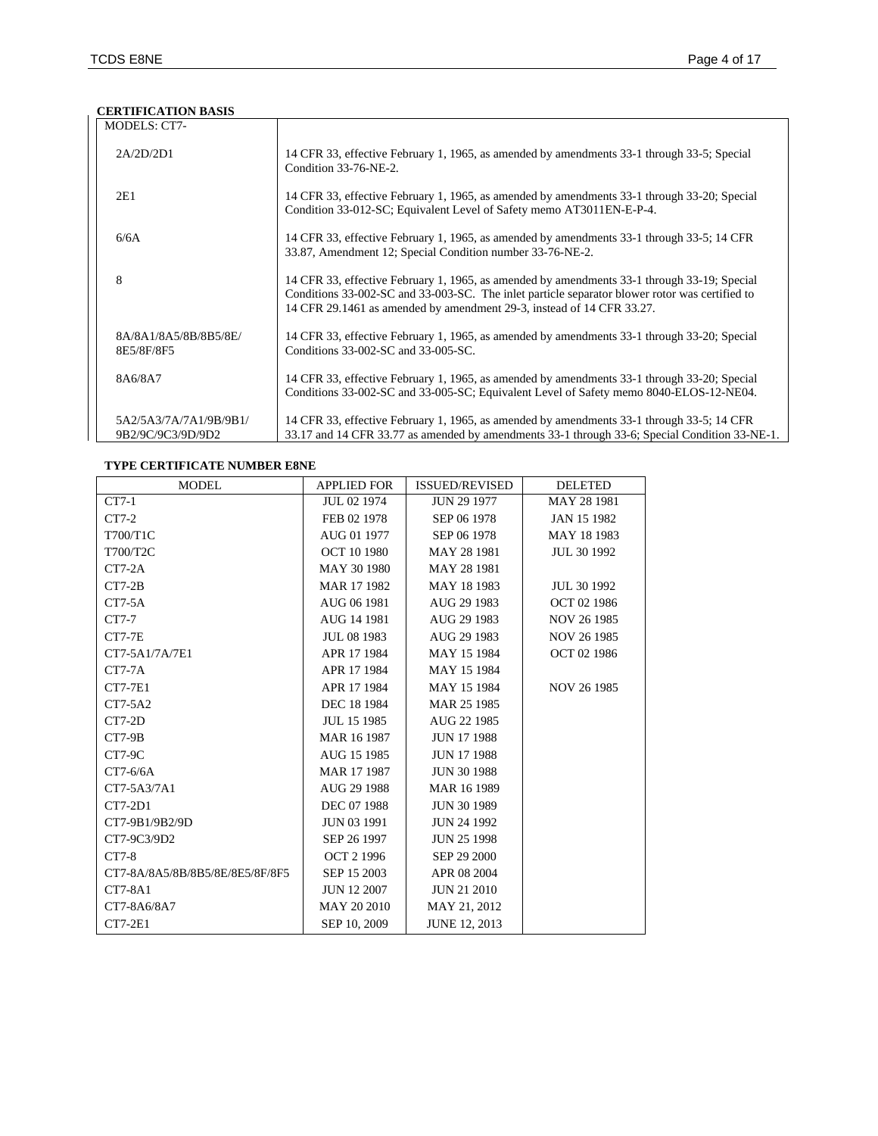# **CERTIFICATION BASIS**

| <b>MODELS: CT7-</b>                         |                                                                                                                                                                                                                                                                        |
|---------------------------------------------|------------------------------------------------------------------------------------------------------------------------------------------------------------------------------------------------------------------------------------------------------------------------|
| 2A/2D/2D1                                   | 14 CFR 33, effective February 1, 1965, as amended by amendments 33-1 through 33-5; Special<br>Condition 33-76-NE-2.                                                                                                                                                    |
| 2E1                                         | 14 CFR 33, effective February 1, 1965, as amended by amendments 33-1 through 33-20; Special<br>Condition 33-012-SC; Equivalent Level of Safety memo AT3011EN-E-P-4.                                                                                                    |
| 6/6A                                        | 14 CFR 33, effective February 1, 1965, as amended by amendments 33-1 through 33-5; 14 CFR<br>33.87, Amendment 12; Special Condition number 33-76-NE-2.                                                                                                                 |
| 8                                           | 14 CFR 33, effective February 1, 1965, as amended by amendments 33-1 through 33-19; Special<br>Conditions 33-002-SC and 33-003-SC. The inlet particle separator blower rotor was certified to<br>14 CFR 29.1461 as amended by amendment 29-3, instead of 14 CFR 33.27. |
| 8A/8A1/8A5/8B/8B5/8E/<br>8E5/8F/8F5         | 14 CFR 33, effective February 1, 1965, as amended by amendments 33-1 through 33-20; Special<br>Conditions 33-002-SC and 33-005-SC.                                                                                                                                     |
| 8A6/8A7                                     | 14 CFR 33, effective February 1, 1965, as amended by amendments 33-1 through 33-20; Special<br>Conditions 33-002-SC and 33-005-SC; Equivalent Level of Safety memo 8040-ELOS-12-NE04.                                                                                  |
| 5A2/5A3/7A/7A1/9B/9B1/<br>9B2/9C/9C3/9D/9D2 | 14 CFR 33, effective February 1, 1965, as amended by amendments 33-1 through 33-5; 14 CFR<br>33.17 and 14 CFR 33.77 as amended by amendments 33-1 through 33-6; Special Condition 33-NE-1.                                                                             |

# **TYPE CERTIFICATE NUMBER E8NE**

| <b>MODEL</b>                    | <b>APPLIED FOR</b> | <b>ISSUED/REVISED</b> | <b>DELETED</b>     |
|---------------------------------|--------------------|-----------------------|--------------------|
| $CT7-1$                         | JUL 02 1974        | <b>JUN 29 1977</b>    | MAY 28 1981        |
| $CT7-2$                         | FEB 02 1978        | SEP 06 1978           | <b>JAN 15 1982</b> |
| T700/T1C                        | AUG 01 1977        | SEP 06 1978           | MAY 18 1983        |
| T700/T2C                        | OCT 10 1980        | MAY 28 1981           | JUL 30 1992        |
| $CT7-2A$                        | MAY 30 1980        | MAY 28 1981           |                    |
| $CT7-2B$                        | MAR 17 1982        | MAY 18 1983           | <b>JUL 30 1992</b> |
| $CT7-5A$                        | AUG 06 1981        | AUG 29 1983           | OCT 02 1986        |
| $CT7-7$                         | AUG 14 1981        | AUG 29 1983           | NOV 26 1985        |
| $CT7-7E$                        | <b>JUL 08 1983</b> | AUG 29 1983           | NOV 26 1985        |
| CT7-5A1/7A/7E1                  | APR 17 1984        | MAY 15 1984           | OCT 02 1986        |
| $CT7-7A$                        | APR 17 1984        | MAY 15 1984           |                    |
| <b>CT7-7E1</b>                  | APR 17 1984        | MAY 15 1984           | NOV 26 1985        |
| $CT7-5A2$                       | DEC 18 1984        | MAR 25 1985           |                    |
| $CT7-2D$                        | JUL 15 1985        | AUG 22 1985           |                    |
| $CT7-9B$                        | MAR 16 1987        | <b>JUN 17 1988</b>    |                    |
| <b>CT7-9C</b>                   | AUG 15 1985        | <b>JUN 17 1988</b>    |                    |
| $CT7-6/6A$                      | MAR 17 1987        | <b>JUN 30 1988</b>    |                    |
| CT7-5A3/7A1                     | AUG 29 1988        | MAR 16 1989           |                    |
| $CT7-2D1$                       | DEC 07 1988        | <b>JUN 30 1989</b>    |                    |
| CT7-9B1/9B2/9D                  | <b>JUN 03 1991</b> | <b>JUN 24 1992</b>    |                    |
| CT7-9C3/9D2                     | SEP 26 1997        | <b>JUN 25 1998</b>    |                    |
| $CT7-8$                         | <b>OCT 2 1996</b>  | SEP 29 2000           |                    |
| CT7-8A/8A5/8B/8B5/8E/8E5/8F/8F5 | SEP 15 2003        | APR 08 2004           |                    |
| $CT7-8A1$                       | <b>JUN 12 2007</b> | <b>JUN 21 2010</b>    |                    |
| CT7-8A6/8A7                     | MAY 20 2010        | MAY 21, 2012          |                    |
| $CT7-2E1$                       | SEP 10, 2009       | JUNE 12, 2013         |                    |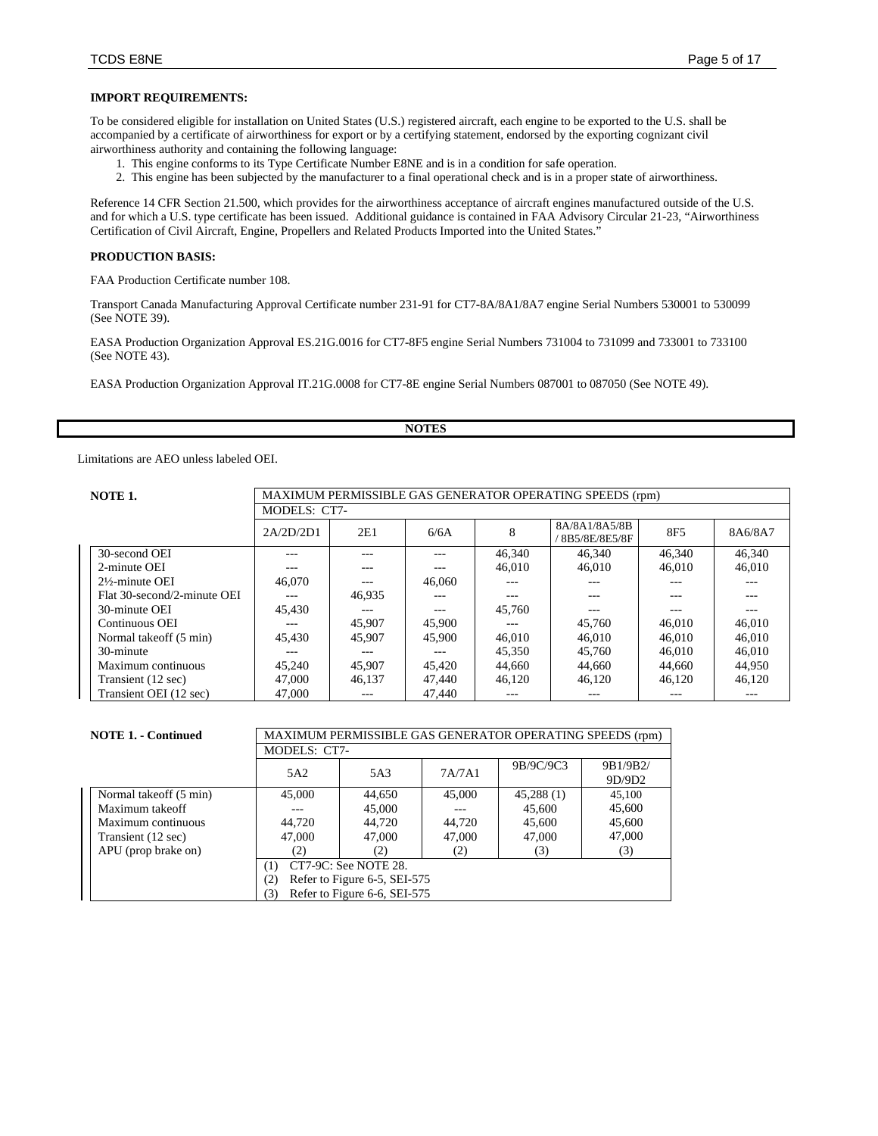### **IMPORT REQUIREMENTS:**

To be considered eligible for installation on United States (U.S.) registered aircraft, each engine to be exported to the U.S. shall be accompanied by a certificate of airworthiness for export or by a certifying statement, endorsed by the exporting cognizant civil airworthiness authority and containing the following language:

- 1. This engine conforms to its Type Certificate Number E8NE and is in a condition for safe operation.
- 2. This engine has been subjected by the manufacturer to a final operational check and is in a proper state of airworthiness.

Reference 14 CFR Section 21.500, which provides for the airworthiness acceptance of aircraft engines manufactured outside of the U.S. and for which a U.S. type certificate has been issued. Additional guidance is contained in FAA Advisory Circular 21-23, "Airworthiness Certification of Civil Aircraft, Engine, Propellers and Related Products Imported into the United States."

### **PRODUCTION BASIS:**

FAA Production Certificate number 108.

Transport Canada Manufacturing Approval Certificate number 231-91 for CT7-8A/8A1/8A7 engine Serial Numbers 530001 to 530099 (See NOTE 39).

EASA Production Organization Approval ES.21G.0016 for CT7-8F5 engine Serial Numbers 731004 to 731099 and 733001 to 733100 (See NOTE 43).

EASA Production Organization Approval IT.21G.0008 for CT7-8E engine Serial Numbers 087001 to 087050 (See NOTE 49).

# **NOTES**

Limitations are AEO unless labeled OEI.

| NOTE 1.                     | MAXIMUM PERMISSIBLE GAS GENERATOR OPERATING SPEEDS (rpm) |        |        |        |                                |                 |         |  |
|-----------------------------|----------------------------------------------------------|--------|--------|--------|--------------------------------|-----------------|---------|--|
|                             | MODELS: CT7-                                             |        |        |        |                                |                 |         |  |
|                             | 2A/2D/2D1                                                | 2E1    | 6/6A   | 8      | 8A/8A1/8A5/8B<br>8B5/8E/8E5/8F | 8F <sub>5</sub> | 8A6/8A7 |  |
| 30-second OEI               | ---                                                      | ---    | $---$  | 46,340 | 46.340                         | 46.340          | 46,340  |  |
| 2-minute OEI                |                                                          | ---    | $---$  | 46,010 | 46,010                         | 46,010          | 46,010  |  |
| $2\frac{1}{2}$ -minute OEI  | 46,070                                                   |        | 46,060 | ---    |                                | ---             | ---     |  |
| Flat 30-second/2-minute OEI | ---                                                      | 46.935 | $---$  | ---    | ---                            | $- - -$         | $---$   |  |
| 30-minute OEI               | 45.430                                                   |        | ---    | 45,760 |                                | $- - -$         |         |  |
| Continuous OEI              | ---                                                      | 45,907 | 45,900 | ---    | 45,760                         | 46,010          | 46,010  |  |
| Normal takeoff (5 min)      | 45.430                                                   | 45,907 | 45,900 | 46,010 | 46,010                         | 46,010          | 46,010  |  |
| 30-minute                   |                                                          |        | ---    | 45.350 | 45,760                         | 46,010          | 46,010  |  |
| Maximum continuous          | 45,240                                                   | 45,907 | 45.420 | 44.660 | 44,660                         | 44,660          | 44.950  |  |
| Transient (12 sec)          | 47,000                                                   | 46.137 | 47,440 | 46.120 | 46.120                         | 46.120          | 46.120  |  |
| Transient OEI (12 sec)      | 47,000                                                   | ---    | 47.440 | ---    | ---                            | $- - -$         | ---     |  |

| <b>NOTE 1. - Continued</b> |                                     | MAXIMUM PERMISSIBLE GAS GENERATOR OPERATING SPEEDS (rpm) |        |           |                    |  |  |  |  |
|----------------------------|-------------------------------------|----------------------------------------------------------|--------|-----------|--------------------|--|--|--|--|
|                            |                                     | MODELS: CT7-                                             |        |           |                    |  |  |  |  |
|                            | 5A2                                 | 5A3                                                      | 7A/7A1 | 9B/9C/9C3 | 9B1/9B2/<br>9D/9D2 |  |  |  |  |
| Normal takeoff (5 min)     | 45,000                              | 44,650                                                   | 45,000 | 45,288(1) | 45,100             |  |  |  |  |
| Maximum takeoff            |                                     | 45,600<br>45,000<br>45,600                               |        |           |                    |  |  |  |  |
| Maximum continuous         | 44.720                              | 44.720                                                   | 44,720 | 45,600    | 45,600             |  |  |  |  |
| Transient (12 sec)         | 47,000                              | 47,000                                                   | 47,000 | 47,000    | 47,000             |  |  |  |  |
| APU (prop brake on)        | (2)                                 | (2)                                                      | (2)    | (3)       | (3)                |  |  |  |  |
|                            | CT7-9C: See NOTE 28.<br>(1)         |                                                          |        |           |                    |  |  |  |  |
|                            | Refer to Figure 6-5, SEI-575<br>(2) |                                                          |        |           |                    |  |  |  |  |
|                            | (3)                                 | Refer to Figure 6-6, SEI-575                             |        |           |                    |  |  |  |  |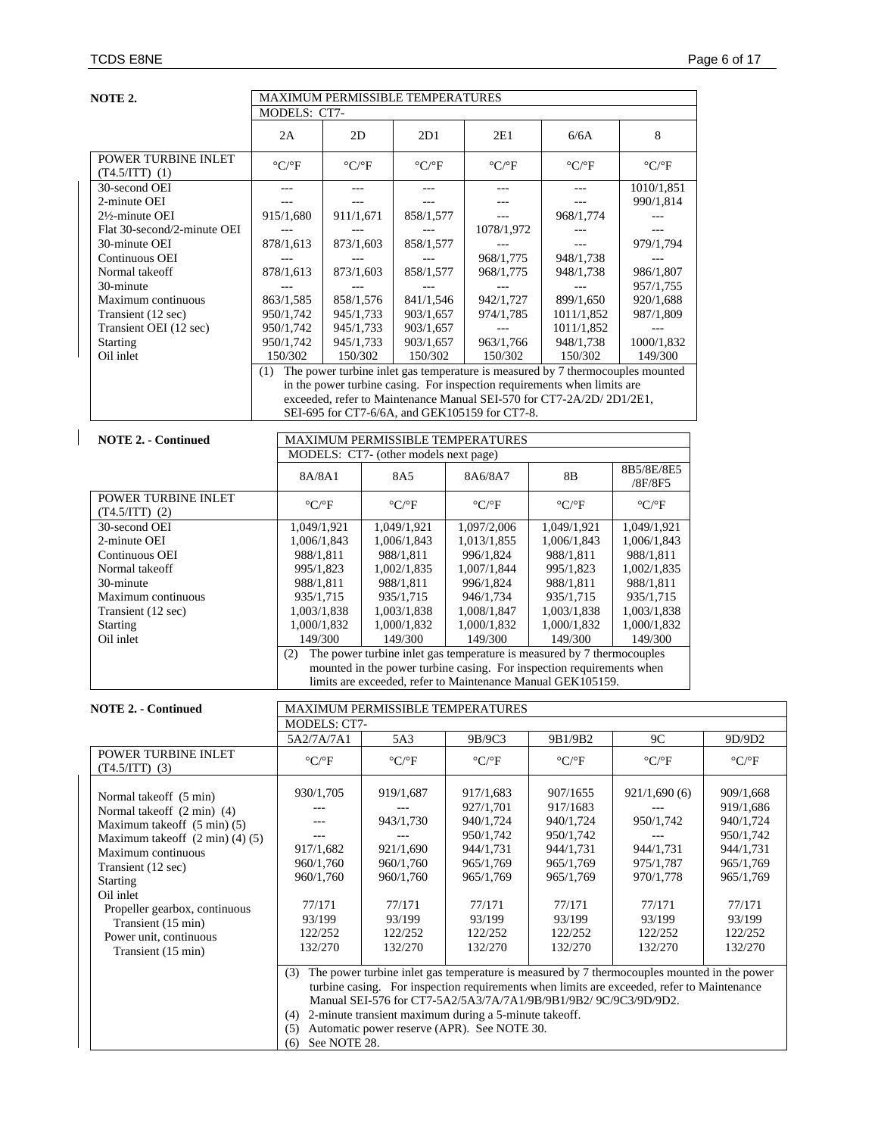| NOTE 2.                                                               | MAXIMUM PERMISSIBLE TEMPERATURES  |                                                  |                        |                                       |  |                                                                                                                                                   |                               |                                 |                                                                                                                                                                |                                                                                             |
|-----------------------------------------------------------------------|-----------------------------------|--------------------------------------------------|------------------------|---------------------------------------|--|---------------------------------------------------------------------------------------------------------------------------------------------------|-------------------------------|---------------------------------|----------------------------------------------------------------------------------------------------------------------------------------------------------------|---------------------------------------------------------------------------------------------|
|                                                                       | MODELS: CT7-                      |                                                  |                        |                                       |  |                                                                                                                                                   |                               |                                 |                                                                                                                                                                |                                                                                             |
|                                                                       | 2A                                | 2D                                               |                        | 2D1                                   |  | 2E1                                                                                                                                               |                               | 6/6A                            | 8                                                                                                                                                              |                                                                                             |
| POWER TURBINE INLET<br>$(T4.5/ITT)$ (1)                               | $\rm ^{\circ} C/\rm ^{\circ} F$   | $\rm ^{\circ} C/\rm ^{\circ} F$                  |                        | $\rm ^{\circ} C/\rm ^{\circ} F$       |  | $\rm ^{\circ} C/\rm ^{\circ} F$                                                                                                                   |                               | $\rm ^{\circ} C/\rm ^{\circ} F$ | $^{\mathrm{o}}\mathrm{C}/^{\mathrm{o}}\mathrm{F}$                                                                                                              |                                                                                             |
| 30-second OEI<br>2-minute OEI                                         | $---$<br>$\overline{a}$           | $---$<br>---                                     |                        | $---$<br>$\overline{a}$               |  | $---$<br>$---$                                                                                                                                    |                               | $---$<br>$\overline{a}$         | 1010/1,851<br>990/1,814                                                                                                                                        |                                                                                             |
| 2½-minute OEI<br>Flat 30-second/2-minute OEI                          | 915/1,680                         | 911/1,671                                        |                        | 858/1,577                             |  | $-$<br>1078/1,972                                                                                                                                 |                               | 968/1,774                       | $---$                                                                                                                                                          |                                                                                             |
| 30-minute OEI                                                         | 878/1,613                         | 873/1,603                                        |                        | 858/1,577                             |  | $---$                                                                                                                                             |                               | $-$ --<br>948/1,738             | 979/1,794                                                                                                                                                      |                                                                                             |
| Continuous OEI<br>Normal takeoff<br>30-minute                         | 878/1,613                         | 873/1,603                                        |                        | 858/1,577                             |  | 968/1,775<br>968/1,775<br>$\overline{a}$                                                                                                          |                               | 948/1,738<br>$\overline{a}$     | $---$<br>986/1,807<br>957/1,755                                                                                                                                |                                                                                             |
| Maximum continuous                                                    | 863/1,585                         | 858/1,576                                        |                        | 841/1,546                             |  | 942/1,727                                                                                                                                         |                               | 899/1,650                       | 920/1,688                                                                                                                                                      |                                                                                             |
| Transient (12 sec)<br>Transient OEI (12 sec)                          | 950/1,742<br>950/1,742            | 945/1,733<br>945/1,733                           |                        | 903/1,657<br>903/1,657                |  | 974/1,785<br>$\sim$                                                                                                                               |                               | 1011/1,852<br>1011/1,852        | 987/1,809<br>$\overline{a}$                                                                                                                                    |                                                                                             |
| <b>Starting</b><br>Oil inlet                                          | 950/1,742<br>150/302              | 945/1,733<br>150/302                             |                        | 903/1,657<br>150/302                  |  | 963/1,766<br>150/302                                                                                                                              |                               | 948/1,738<br>150/302            | 1000/1,832<br>149/300                                                                                                                                          |                                                                                             |
| (1)                                                                   |                                   |                                                  |                        |                                       |  |                                                                                                                                                   |                               |                                 | The power turbine inlet gas temperature is measured by 7 thermocouples mounted                                                                                 |                                                                                             |
|                                                                       |                                   |                                                  |                        |                                       |  | in the power turbine casing. For inspection requirements when limits are<br>exceeded, refer to Maintenance Manual SEI-570 for CT7-2A/2D/ 2D1/2E1, |                               |                                 |                                                                                                                                                                |                                                                                             |
|                                                                       |                                   |                                                  |                        |                                       |  | SEI-695 for CT7-6/6A, and GEK105159 for CT7-8.                                                                                                    |                               |                                 |                                                                                                                                                                |                                                                                             |
| <b>NOTE 2. - Continued</b>                                            |                                   |                                                  |                        | MODELS: CT7- (other models next page) |  | MAXIMUM PERMISSIBLE TEMPERATURES                                                                                                                  |                               |                                 |                                                                                                                                                                |                                                                                             |
|                                                                       | 8A/8A1                            |                                                  |                        | 8A5                                   |  | 8A6/8A7                                                                                                                                           | 8B                            |                                 | 8B5/8E/8E5<br>/8F/8F5                                                                                                                                          |                                                                                             |
| POWER TURBINE INLET<br>$(T4.5/ITT)$ (2)                               | $\rm ^{\circ} C/\rm ^{\circ} F$   |                                                  |                        | $\rm ^{\circ} C/\rm ^{\circ} F$       |  | $\rm ^{\circ} C/\rm ^{\circ} F$                                                                                                                   | $\rm ^{\circ}C/\rm ^{\circ}F$ |                                 | $\rm ^{\circ} C/\rm ^{\circ} F$                                                                                                                                |                                                                                             |
| 30-second OEI<br>2-minute OEI                                         | 1,049/1,921<br>1,006/1,843        |                                                  |                        | 1,049/1,921<br>1,006/1,843            |  | 1,097/2,006<br>1,013/1,855                                                                                                                        | 1,049/1,921<br>1,006/1,843    |                                 | 1,049/1,921<br>1,006/1,843                                                                                                                                     |                                                                                             |
| Continuous OEI                                                        | 988/1,811                         |                                                  |                        | 988/1,811                             |  | 996/1,824                                                                                                                                         | 988/1,811                     |                                 | 988/1,811                                                                                                                                                      |                                                                                             |
| Normal takeoff<br>30-minute                                           | 995/1,823<br>988/1,811            |                                                  | 1,002/1,835            |                                       |  | 1,007/1,844<br>996/1,824                                                                                                                          | 995/1,823<br>988/1,811        |                                 | 1,002/1,835<br>988/1,811                                                                                                                                       |                                                                                             |
| Maximum continuous                                                    | 935/1,715                         |                                                  | 988/1,811<br>935/1,715 |                                       |  | 946/1,734                                                                                                                                         | 935/1,715                     |                                 | 935/1,715                                                                                                                                                      |                                                                                             |
| Transient (12 sec)                                                    | 1,003/1,838                       |                                                  | 1,003/1,838            |                                       |  | 1,008/1,847                                                                                                                                       | 1,003/1,838                   |                                 | 1,003/1,838                                                                                                                                                    |                                                                                             |
| Starting                                                              | 1,000/1,832                       |                                                  |                        | 1,000/1,832                           |  | 1,000/1,832                                                                                                                                       | 1,000/1,832                   |                                 | 1,000/1,832                                                                                                                                                    |                                                                                             |
| Oil inlet                                                             | 149/300                           |                                                  |                        | 149/300                               |  | 149/300                                                                                                                                           | 149/300                       |                                 | 149/300                                                                                                                                                        |                                                                                             |
|                                                                       | (2)                               |                                                  |                        |                                       |  | The power turbine inlet gas temperature is measured by 7 thermocouples<br>mounted in the power turbine casing. For inspection requirements when   |                               |                                 |                                                                                                                                                                |                                                                                             |
|                                                                       |                                   |                                                  |                        |                                       |  | limits are exceeded, refer to Maintenance Manual GEK105159.                                                                                       |                               |                                 |                                                                                                                                                                |                                                                                             |
| <b>NOTE 2. - Continued</b>                                            |                                   | MAXIMUM PERMISSIBLE TEMPERATURES<br>MODELS: CT7- |                        |                                       |  |                                                                                                                                                   |                               |                                 |                                                                                                                                                                |                                                                                             |
|                                                                       | 5A2/7A/7A1                        |                                                  |                        | 5A3                                   |  | 9B/9C3                                                                                                                                            | 9B1/9B2                       |                                 | $9\mathrm{C}$                                                                                                                                                  | 9D/9D2                                                                                      |
| POWER TURBINE INLET<br>$(T4.5/ITT)$ (3)                               | $\rm ^{\circ} C/\rm ^{\circ} F$   |                                                  |                        | $\rm ^{\circ} C/\rm ^{\circ} F$       |  | $\rm ^{\circ}C/\rm ^{\circ}F$                                                                                                                     | $\rm ^{\circ}C/\rm ^{\circ}F$ |                                 | $\rm ^{\circ} C/\rm ^{\circ} F$                                                                                                                                | $\rm ^{\circ}C/\rm ^{\circ}F$                                                               |
| Normal takeoff (5 min)                                                | 930/1,705<br>$\sim$ $\sim$ $\sim$ |                                                  |                        | 919/1,687<br>$\overline{a}$           |  | 917/1,683<br>927/1,701                                                                                                                            | 907/1655<br>917/1683          |                                 | 921/1,690(6)                                                                                                                                                   | 909/1,668<br>919/1,686                                                                      |
| Normal takeoff (2 min) (4)<br>Maximum takeoff $(5 \text{ min})$ $(5)$ | $---$<br>$---$                    |                                                  |                        | 943/1,730                             |  | 940/1,724<br>950/1,742                                                                                                                            | 940/1,724<br>950/1,742        |                                 | 950/1,742                                                                                                                                                      | 940/1,724<br>950/1,742                                                                      |
| Maximum takeoff $(2 \text{ min}) (4) (5)$<br>Maximum continuous       | 917/1,682                         |                                                  |                        | 921/1,690                             |  | 944/1,731                                                                                                                                         | 944/1,731                     |                                 | 944/1,731                                                                                                                                                      | 944/1,731                                                                                   |
| Transient (12 sec)                                                    | 960/1,760                         |                                                  |                        | 960/1,760                             |  | 965/1,769                                                                                                                                         | 965/1,769                     |                                 | 975/1,787                                                                                                                                                      | 965/1,769                                                                                   |
| Starting<br>Oil inlet                                                 | 960/1,760                         |                                                  |                        | 960/1,760                             |  | 965/1,769                                                                                                                                         | 965/1,769                     |                                 | 970/1,778                                                                                                                                                      | 965/1,769                                                                                   |
| Propeller gearbox, continuous                                         | 77/171                            |                                                  |                        | 77/171                                |  | 77/171                                                                                                                                            | 77/171                        |                                 | 77/171                                                                                                                                                         | 77/171                                                                                      |
| Transient (15 min)                                                    | 93/199                            |                                                  |                        | 93/199                                |  | 93/199                                                                                                                                            | 93/199                        |                                 | 93/199                                                                                                                                                         | 93/199                                                                                      |
| Power unit, continuous<br>Transient (15 min)                          | 122/252<br>132/270                |                                                  |                        | 122/252<br>132/270                    |  | 122/252<br>132/270                                                                                                                                | 122/252<br>132/270            |                                 | 122/252<br>132/270                                                                                                                                             | 122/252<br>132/270                                                                          |
|                                                                       |                                   |                                                  |                        |                                       |  |                                                                                                                                                   |                               |                                 |                                                                                                                                                                |                                                                                             |
|                                                                       | (3)                               |                                                  |                        |                                       |  |                                                                                                                                                   |                               |                                 | turbine casing. For inspection requirements when limits are exceeded, refer to Maintenance<br>Manual SEI-576 for CT7-5A2/5A3/7A/7A1/9B/9B1/9B2/ 9C/9C3/9D/9D2. | The power turbine inlet gas temperature is measured by 7 thermocouples mounted in the power |
|                                                                       | (5)<br>(6)                        | See NOTE 28.                                     |                        |                                       |  | (4) 2-minute transient maximum during a 5-minute takeoff.<br>Automatic power reserve (APR). See NOTE 30.                                          |                               |                                 |                                                                                                                                                                |                                                                                             |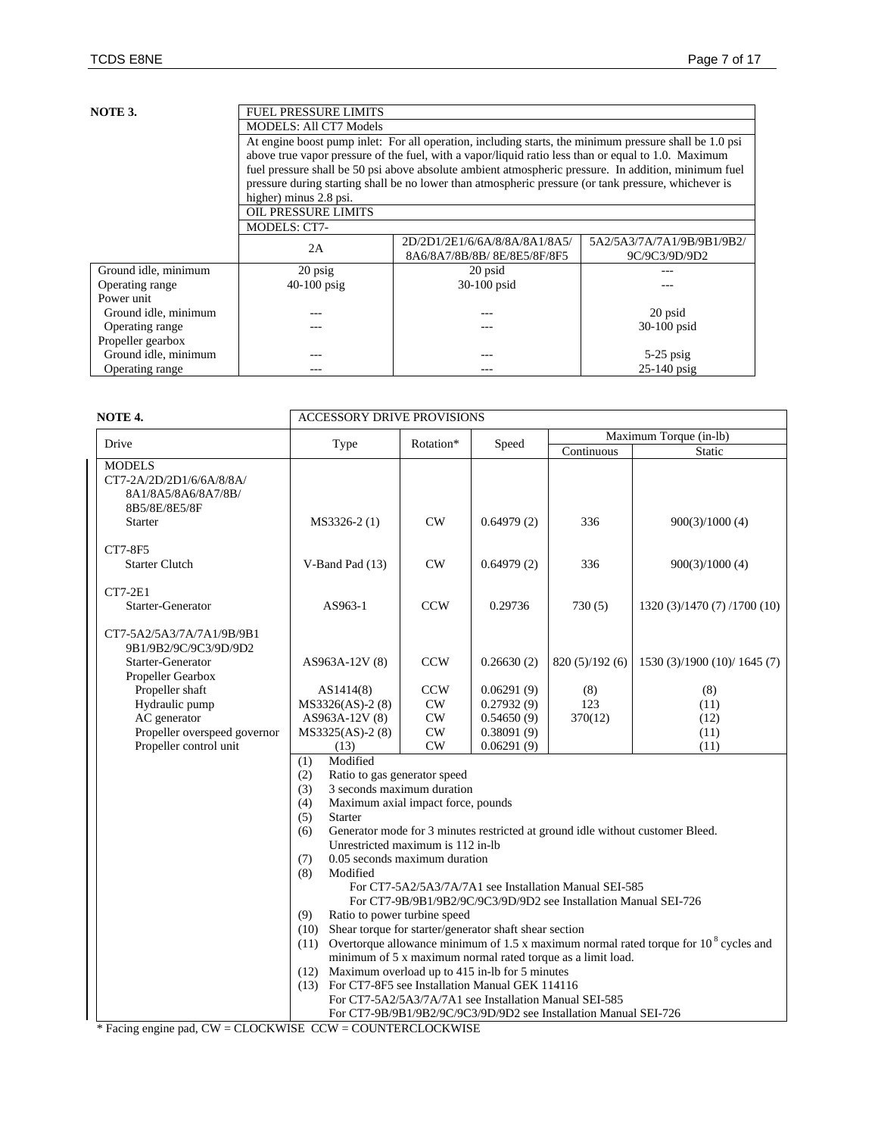| NOTE 3.              | <b>FUEL PRESSURE LIMITS</b>                                                                          |                                                                                                         |                            |  |  |  |  |  |
|----------------------|------------------------------------------------------------------------------------------------------|---------------------------------------------------------------------------------------------------------|----------------------------|--|--|--|--|--|
|                      | <b>MODELS: All CT7 Models</b>                                                                        |                                                                                                         |                            |  |  |  |  |  |
|                      |                                                                                                      | At engine boost pump in let: For all operation, including starts, the minimum pressure shall be 1.0 psi |                            |  |  |  |  |  |
|                      | above true vapor pressure of the fuel, with a vapor/liquid ratio less than or equal to 1.0. Maximum  |                                                                                                         |                            |  |  |  |  |  |
|                      | fuel pressure shall be 50 psi above absolute ambient atmospheric pressure. In addition, minimum fuel |                                                                                                         |                            |  |  |  |  |  |
|                      |                                                                                                      | pressure during starting shall be no lower than atmospheric pressure (or tank pressure, whichever is    |                            |  |  |  |  |  |
|                      | higher) minus 2.8 psi.                                                                               |                                                                                                         |                            |  |  |  |  |  |
|                      | <b>OIL PRESSURE LIMITS</b>                                                                           |                                                                                                         |                            |  |  |  |  |  |
|                      | <b>MODELS: CT7-</b>                                                                                  |                                                                                                         |                            |  |  |  |  |  |
|                      |                                                                                                      | 2D/2D1/2E1/6/6A/8/8A/8A1/8A5/                                                                           | 5A2/5A3/7A/7A1/9B/9B1/9B2/ |  |  |  |  |  |
|                      | 2A                                                                                                   | 8A6/8A7/8B/8B/8E/8E5/8F/8F5                                                                             | 9C/9C3/9D/9D2              |  |  |  |  |  |
| Ground idle, minimum | $20$ psig                                                                                            | 20 psid                                                                                                 |                            |  |  |  |  |  |
| Operating range      | $40-100$ psig                                                                                        | 30-100 psid                                                                                             |                            |  |  |  |  |  |
| Power unit           |                                                                                                      |                                                                                                         |                            |  |  |  |  |  |
| Ground idle, minimum |                                                                                                      | ---                                                                                                     | 20 psid                    |  |  |  |  |  |
| Operating range      |                                                                                                      | ---                                                                                                     | 30-100 psid                |  |  |  |  |  |
| Propeller gearbox    |                                                                                                      |                                                                                                         |                            |  |  |  |  |  |
| Ground idle, minimum |                                                                                                      |                                                                                                         | $5-25$ psig                |  |  |  |  |  |
| Operating range      |                                                                                                      |                                                                                                         | $25-140$ psig              |  |  |  |  |  |

| NOTE <sub>4</sub> .                                                               | <b>ACCESSORY DRIVE PROVISIONS</b>                                                                                                                                                                                                                                                                                                                                                                                                                                                                                                                                                                                                                                                                                                                                                                                                |               |                                                        |                                                                  |                              |  |  |  |
|-----------------------------------------------------------------------------------|----------------------------------------------------------------------------------------------------------------------------------------------------------------------------------------------------------------------------------------------------------------------------------------------------------------------------------------------------------------------------------------------------------------------------------------------------------------------------------------------------------------------------------------------------------------------------------------------------------------------------------------------------------------------------------------------------------------------------------------------------------------------------------------------------------------------------------|---------------|--------------------------------------------------------|------------------------------------------------------------------|------------------------------|--|--|--|
| Drive                                                                             | Type                                                                                                                                                                                                                                                                                                                                                                                                                                                                                                                                                                                                                                                                                                                                                                                                                             | Rotation*     | Speed                                                  | Maximum Torque (in-lb)                                           |                              |  |  |  |
|                                                                                   |                                                                                                                                                                                                                                                                                                                                                                                                                                                                                                                                                                                                                                                                                                                                                                                                                                  |               |                                                        | Continuous                                                       | Static                       |  |  |  |
| <b>MODELS</b><br>CT7-2A/2D/2D1/6/6A/8/8A/<br>8A1/8A5/8A6/8A7/8B/<br>8B5/8E/8E5/8F |                                                                                                                                                                                                                                                                                                                                                                                                                                                                                                                                                                                                                                                                                                                                                                                                                                  |               |                                                        |                                                                  |                              |  |  |  |
| <b>Starter</b>                                                                    | MS3326-2(1)                                                                                                                                                                                                                                                                                                                                                                                                                                                                                                                                                                                                                                                                                                                                                                                                                      | CW            | 0.64979(2)                                             | 336                                                              | 900(3)/1000(4)               |  |  |  |
| CT7-8F5                                                                           |                                                                                                                                                                                                                                                                                                                                                                                                                                                                                                                                                                                                                                                                                                                                                                                                                                  |               |                                                        |                                                                  |                              |  |  |  |
| <b>Starter Clutch</b>                                                             | V-Band Pad (13)                                                                                                                                                                                                                                                                                                                                                                                                                                                                                                                                                                                                                                                                                                                                                                                                                  | CW            | 0.64979(2)                                             | 336                                                              | 900(3)/1000(4)               |  |  |  |
| <b>CT7-2E1</b>                                                                    |                                                                                                                                                                                                                                                                                                                                                                                                                                                                                                                                                                                                                                                                                                                                                                                                                                  |               |                                                        |                                                                  |                              |  |  |  |
| Starter-Generator                                                                 | AS963-1                                                                                                                                                                                                                                                                                                                                                                                                                                                                                                                                                                                                                                                                                                                                                                                                                          | <b>CCW</b>    | 0.29736                                                | 730(5)                                                           | 1320 (3)/1470 (7) /1700 (10) |  |  |  |
| CT7-5A2/5A3/7A/7A1/9B/9B1<br>9B1/9B2/9C/9C3/9D/9D2                                |                                                                                                                                                                                                                                                                                                                                                                                                                                                                                                                                                                                                                                                                                                                                                                                                                                  |               |                                                        |                                                                  |                              |  |  |  |
| Starter-Generator<br>Propeller Gearbox                                            | AS963A-12V (8)                                                                                                                                                                                                                                                                                                                                                                                                                                                                                                                                                                                                                                                                                                                                                                                                                   | <b>CCW</b>    | 0.26630(2)                                             | 820(5)/192(6)                                                    | 1530 (3)/1900 (10)/ 1645 (7) |  |  |  |
| Propeller shaft                                                                   | AS1414(8)                                                                                                                                                                                                                                                                                                                                                                                                                                                                                                                                                                                                                                                                                                                                                                                                                        | <b>CCW</b>    | 0.06291(9)                                             | (8)                                                              | (8)                          |  |  |  |
| Hydraulic pump                                                                    | MS3326(AS)-2 (8)                                                                                                                                                                                                                                                                                                                                                                                                                                                                                                                                                                                                                                                                                                                                                                                                                 | CW            | 0.27932(9)                                             | 123                                                              | (11)                         |  |  |  |
| AC generator                                                                      | AS963A-12V (8)                                                                                                                                                                                                                                                                                                                                                                                                                                                                                                                                                                                                                                                                                                                                                                                                                   | CW            | 0.54650(9)                                             | 370(12)                                                          | (12)                         |  |  |  |
| Propeller overspeed governor                                                      | MS3325(AS)-2(8)                                                                                                                                                                                                                                                                                                                                                                                                                                                                                                                                                                                                                                                                                                                                                                                                                  | $\mathrm{CW}$ | 0.38091(9)                                             |                                                                  | (11)                         |  |  |  |
| Propeller control unit                                                            | (13)                                                                                                                                                                                                                                                                                                                                                                                                                                                                                                                                                                                                                                                                                                                                                                                                                             | CW            | 0.06291(9)                                             |                                                                  | (11)                         |  |  |  |
|                                                                                   | Modified<br>(1)<br>Ratio to gas generator speed<br>(2)<br>3 seconds maximum duration<br>(3)<br>Maximum axial impact force, pounds<br>(4)<br>(5)<br><b>Starter</b><br>(6)<br>Generator mode for 3 minutes restricted at ground idle without customer Bleed.<br>Unrestricted maximum is 112 in-lb<br>0.05 seconds maximum duration<br>(7)<br>Modified<br>(8)<br>For CT7-5A2/5A3/7A/7A1 see Installation Manual SEI-585<br>For CT7-9B/9B1/9B2/9C/9C3/9D/9D2 see Installation Manual SEI-726<br>(9)<br>Ratio to power turbine speed<br>(10) Shear torque for starter/generator shaft shear section<br>Overtorque allowance minimum of 1.5 x maximum normal rated torque for 10 <sup>8</sup> cycles and<br>(11)<br>minimum of 5 x maximum normal rated torque as a limit load.<br>(12) Maximum overload up to 415 in-lb for 5 minutes |               |                                                        |                                                                  |                              |  |  |  |
|                                                                                   | (13) For CT7-8F5 see Installation Manual GEK 114116                                                                                                                                                                                                                                                                                                                                                                                                                                                                                                                                                                                                                                                                                                                                                                              |               | For CT7-5A2/5A3/7A/7A1 see Installation Manual SEI-585 |                                                                  |                              |  |  |  |
|                                                                                   |                                                                                                                                                                                                                                                                                                                                                                                                                                                                                                                                                                                                                                                                                                                                                                                                                                  |               |                                                        | For CT7-9B/9B1/9B2/9C/9C3/9D/9D2 see Installation Manual SEI-726 |                              |  |  |  |
| $*$ Eacing engine pad, $CW - CD$ OCKWISE, $CCW - CO$ INTERCI OCKWISE              |                                                                                                                                                                                                                                                                                                                                                                                                                                                                                                                                                                                                                                                                                                                                                                                                                                  |               |                                                        |                                                                  |                              |  |  |  |

\* Facing engine pad, CW = CLOCKWISE CCW = COUNTERCLOCKWISE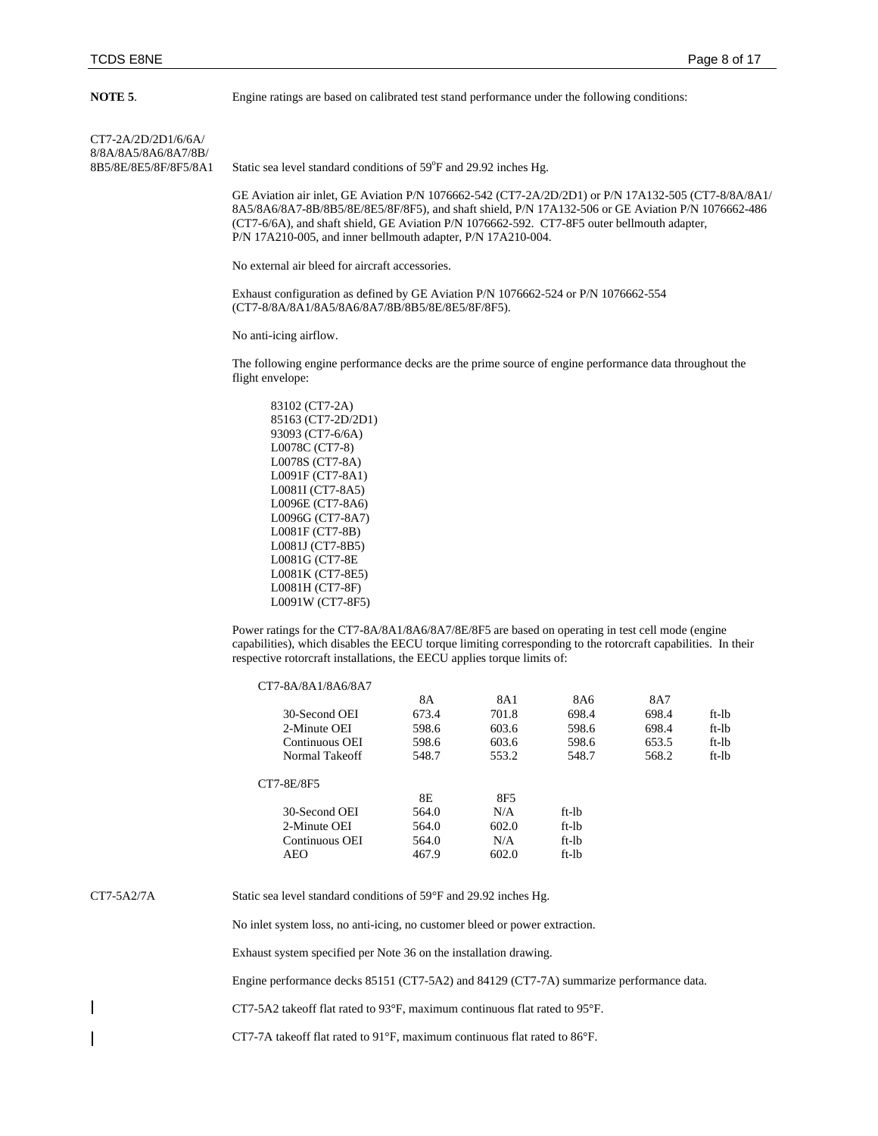**NOTE 5.** Engine ratings are based on calibrated test stand performance under the following conditions:

CT7-2A/2D/2D1/6/6A/ 8/8A/8A5/8A6/8A7/8B/<br>8B5/8E/8E5/8F/8F5/8A1

8B5/8E/8E5/8F/8F5/8A1 Static sea level standard conditions of 59°F and 29.92 inches Hg.

GE Aviation air inlet, GE Aviation P/N 1076662-542 (CT7-2A/2D/2D1) or P/N 17A132-505 (CT7-8/8A/8A1/ 8A5/8A6/8A7-8B/8B5/8E/8E5/8F/8F5), and shaft shield, P/N 17A132-506 or GE Aviation P/N 1076662-486 (CT7-6/6A), and shaft shield, GE Aviation P/N 1076662-592. CT7-8F5 outer bellmouth adapter, P/N 17A210-005, and inner bellmouth adapter, P/N 17A210-004.

No external air bleed for aircraft accessories.

Exhaust configuration as defined by GE Aviation P/N 1076662-524 or P/N 1076662-554 (CT7-8/8A/8A1/8A5/8A6/8A7/8B/8B5/8E/8E5/8F/8F5).

No anti-icing airflow.

The following engine performance decks are the prime source of engine performance data throughout the flight envelope:

Power ratings for the CT7-8A/8A1/8A6/8A7/8E/8F5 are based on operating in test cell mode (engine capabilities), which disables the EECU torque limiting corresponding to the rotorcraft capabilities. In their respective rotorcraft installations, the EECU applies torque limits of:

| CT7-8A/8A1/8A6/8A7 |       |       |         |       |         |
|--------------------|-------|-------|---------|-------|---------|
|                    | 8A    | 8A1   | 8A6     | 8A7   |         |
| 30-Second OEI      | 673.4 | 701.8 | 698.4   | 698.4 | $ft-lb$ |
| 2-Minute OEI       | 598.6 | 603.6 | 598.6   | 698.4 | $ft-lb$ |
| Continuous OEI     | 598.6 | 603.6 | 598.6   | 653.5 | $ft-lb$ |
| Normal Takeoff     | 548.7 | 553.2 | 548.7   | 568.2 | $ft-lb$ |
| CT7-8E/8F5         |       |       |         |       |         |
|                    | 8E    | 8F5   |         |       |         |
| 30-Second OEI      | 564.0 | N/A   | ft-lb   |       |         |
| 2-Minute OEI       | 564.0 | 602.0 | ft-lb   |       |         |
| Continuous OEI     | 564.0 | N/A   | ft-lb   |       |         |
| AEO                | 467.9 | 602.0 | $ft-lb$ |       |         |
|                    |       |       |         |       |         |

CT7-5A2/7A Static sea level standard conditions of 59°F and 29.92 inches Hg.

No inlet system loss, no anti-icing, no customer bleed or power extraction.

Exhaust system specified per Note 36 on the installation drawing.

Engine performance decks 85151 (CT7-5A2) and 84129 (CT7-7A) summarize performance data.

CT7-5A2 takeoff flat rated to 93°F, maximum continuous flat rated to 95°F.

CT7-7A takeoff flat rated to 91°F, maximum continuous flat rated to 86°F.

<sup>83102 (</sup>CT7-2A) 85163 (CT7-2D/2D1) 93093 (CT7-6/6A) L0078C (CT7-8) L0078S (CT7-8A) L0091F (CT7-8A1) L0081I (CT7-8A5) L0096E (CT7-8A6) L0096G (CT7-8A7) L0081F (CT7-8B) L0081J (CT7-8B5) L0081G (CT7-8E L0081K (CT7-8E5) L0081H (CT7-8F) L0091W (CT7-8F5)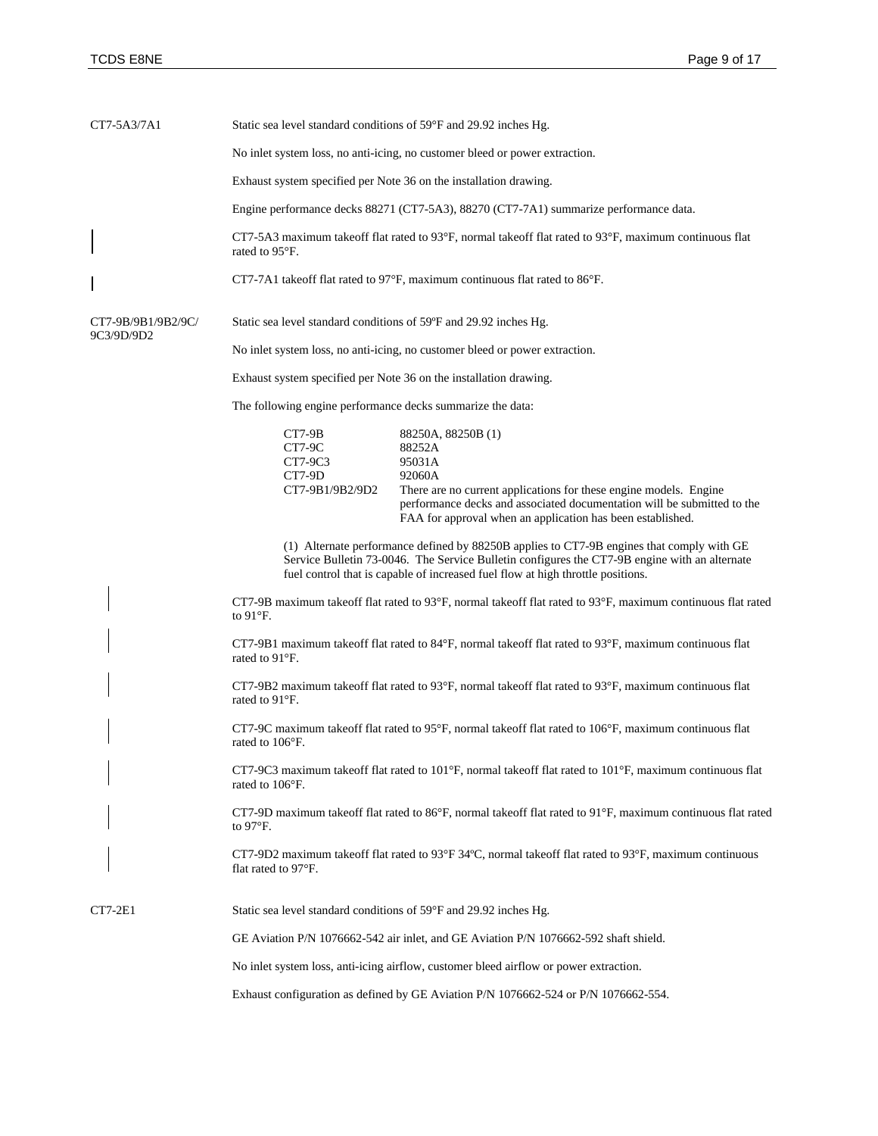| CT7-5A3/7A1                      | Static sea level standard conditions of 59°F and 29.92 inches Hg.                                                                                                                                                                                                             |                                                                                                                                                                                                                                                                |  |  |  |  |  |  |
|----------------------------------|-------------------------------------------------------------------------------------------------------------------------------------------------------------------------------------------------------------------------------------------------------------------------------|----------------------------------------------------------------------------------------------------------------------------------------------------------------------------------------------------------------------------------------------------------------|--|--|--|--|--|--|
|                                  | No inlet system loss, no anti-icing, no customer bleed or power extraction.                                                                                                                                                                                                   |                                                                                                                                                                                                                                                                |  |  |  |  |  |  |
|                                  | Exhaust system specified per Note 36 on the installation drawing.                                                                                                                                                                                                             |                                                                                                                                                                                                                                                                |  |  |  |  |  |  |
|                                  |                                                                                                                                                                                                                                                                               | Engine performance decks 88271 (CT7-5A3), 88270 (CT7-7A1) summarize performance data.                                                                                                                                                                          |  |  |  |  |  |  |
|                                  | rated to 95°F.                                                                                                                                                                                                                                                                | CT7-5A3 maximum takeoff flat rated to 93°F, normal takeoff flat rated to 93°F, maximum continuous flat                                                                                                                                                         |  |  |  |  |  |  |
|                                  |                                                                                                                                                                                                                                                                               | CT7-7A1 takeoff flat rated to 97°F, maximum continuous flat rated to 86°F.                                                                                                                                                                                     |  |  |  |  |  |  |
| CT7-9B/9B1/9B2/9C/<br>9C3/9D/9D2 | Static sea level standard conditions of 59°F and 29.92 inches Hg.                                                                                                                                                                                                             |                                                                                                                                                                                                                                                                |  |  |  |  |  |  |
|                                  |                                                                                                                                                                                                                                                                               | No inlet system loss, no anti-icing, no customer bleed or power extraction.                                                                                                                                                                                    |  |  |  |  |  |  |
|                                  |                                                                                                                                                                                                                                                                               | Exhaust system specified per Note 36 on the installation drawing.                                                                                                                                                                                              |  |  |  |  |  |  |
|                                  | The following engine performance decks summarize the data:                                                                                                                                                                                                                    |                                                                                                                                                                                                                                                                |  |  |  |  |  |  |
|                                  | CT7-9B<br><b>CT7-9C</b><br>CT7-9C3<br>CT7-9D<br>CT7-9B1/9B2/9D2                                                                                                                                                                                                               | 88250A, 88250B (1)<br>88252A<br>95031A<br>92060A<br>There are no current applications for these engine models. Engine<br>performance decks and associated documentation will be submitted to the<br>FAA for approval when an application has been established. |  |  |  |  |  |  |
|                                  | (1) Alternate performance defined by 88250B applies to CT7-9B engines that comply with GE<br>Service Bulletin 73-0046. The Service Bulletin configures the CT7-9B engine with an alternate<br>fuel control that is capable of increased fuel flow at high throttle positions. |                                                                                                                                                                                                                                                                |  |  |  |  |  |  |
|                                  | CT7-9B maximum takeoff flat rated to 93°F, normal takeoff flat rated to 93°F, maximum continuous flat rated<br>to $91^\circ F$ .                                                                                                                                              |                                                                                                                                                                                                                                                                |  |  |  |  |  |  |
|                                  | rated to 91°F.                                                                                                                                                                                                                                                                | CT7-9B1 maximum takeoff flat rated to 84°F, normal takeoff flat rated to 93°F, maximum continuous flat                                                                                                                                                         |  |  |  |  |  |  |
|                                  | rated to 91°F.                                                                                                                                                                                                                                                                | CT7-9B2 maximum takeoff flat rated to 93°F, normal takeoff flat rated to 93°F, maximum continuous flat                                                                                                                                                         |  |  |  |  |  |  |
|                                  | rated to 106°F.                                                                                                                                                                                                                                                               | CT7-9C maximum takeoff flat rated to 95°F, normal takeoff flat rated to 106°F, maximum continuous flat                                                                                                                                                         |  |  |  |  |  |  |
|                                  | rated to 106°F.                                                                                                                                                                                                                                                               | CT7-9C3 maximum takeoff flat rated to 101°F, normal takeoff flat rated to 101°F, maximum continuous flat                                                                                                                                                       |  |  |  |  |  |  |
|                                  | to $97^{\circ}$ F.                                                                                                                                                                                                                                                            | CT7-9D maximum takeoff flat rated to 86°F, normal takeoff flat rated to 91°F, maximum continuous flat rated                                                                                                                                                    |  |  |  |  |  |  |
|                                  | flat rated to 97°F.                                                                                                                                                                                                                                                           | CT7-9D2 maximum takeoff flat rated to 93°F 34°C, normal takeoff flat rated to 93°F, maximum continuous                                                                                                                                                         |  |  |  |  |  |  |
| $CT7-2E1$                        |                                                                                                                                                                                                                                                                               | Static sea level standard conditions of 59°F and 29.92 inches Hg.                                                                                                                                                                                              |  |  |  |  |  |  |
|                                  |                                                                                                                                                                                                                                                                               | GE Aviation P/N 1076662-542 air inlet, and GE Aviation P/N 1076662-592 shaft shield.                                                                                                                                                                           |  |  |  |  |  |  |
|                                  |                                                                                                                                                                                                                                                                               | No inlet system loss, anti-icing airflow, customer bleed airflow or power extraction.                                                                                                                                                                          |  |  |  |  |  |  |
|                                  | Exhaust configuration as defined by GE Aviation P/N 1076662-524 or P/N 1076662-554.                                                                                                                                                                                           |                                                                                                                                                                                                                                                                |  |  |  |  |  |  |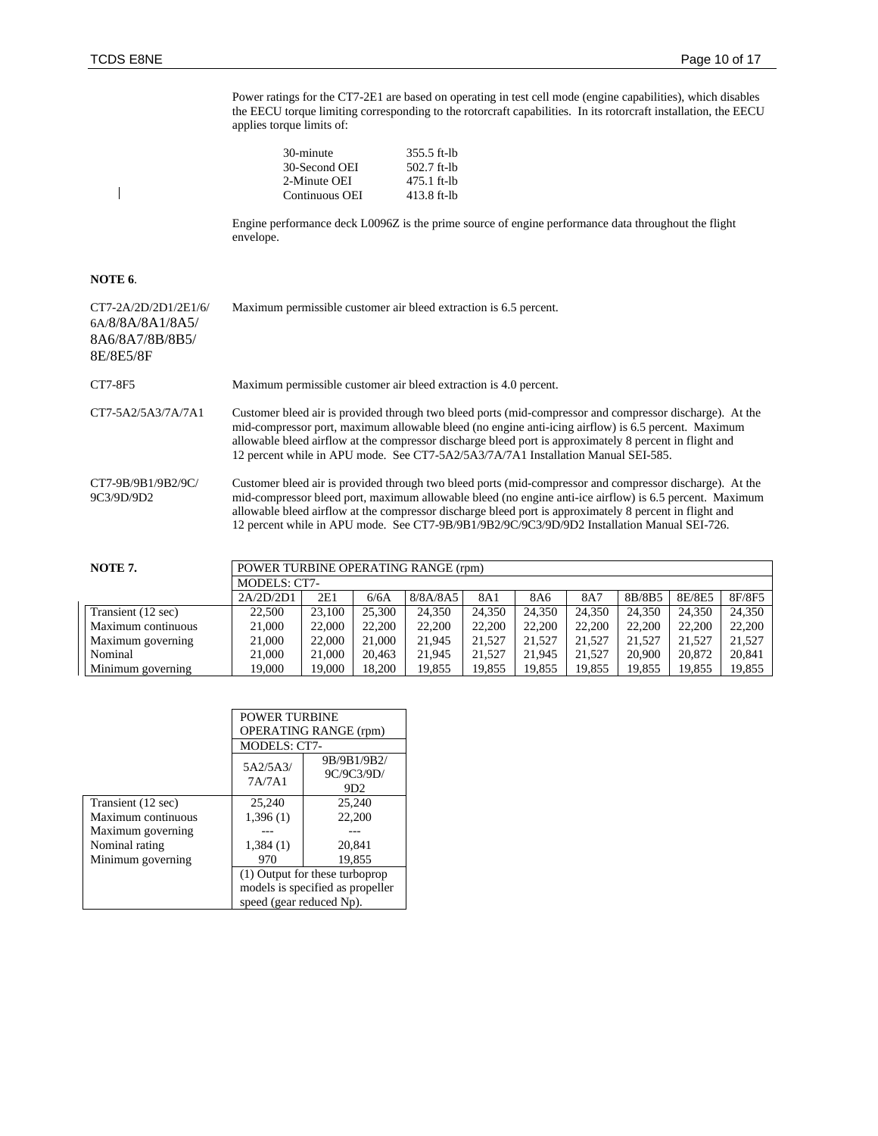Power ratings for the CT7-2E1 are based on operating in test cell mode (engine capabilities), which disables the EECU torque limiting corresponding to the rotorcraft capabilities. In its rotorcraft installation, the EECU applies torque limits of:

| 30-minute      | $355.5$ ft-lb |
|----------------|---------------|
| 30-Second OEI  | $502.7$ ft-lb |
| 2-Minute OEI   | 475.1 ft-lb   |
| Continuous OEI | $413.8$ ft-lb |

Engine performance deck L0096Z is the prime source of engine performance data throughout the flight envelope.

## **NOTE 6**.

 $\begin{array}{c} \hline \end{array}$ 

| CT7-2A/2D/2D1/2E1/6/<br>6A/8/8A/8A1/8A5/<br>8A6/8A7/8B/8B5/<br>8E/8E5/8F | Maximum permissible customer air bleed extraction is 6.5 percent.                                                                                                                                                                                                                                                                                                                                                             |
|--------------------------------------------------------------------------|-------------------------------------------------------------------------------------------------------------------------------------------------------------------------------------------------------------------------------------------------------------------------------------------------------------------------------------------------------------------------------------------------------------------------------|
| CT7-8F5                                                                  | Maximum permissible customer air bleed extraction is 4.0 percent.                                                                                                                                                                                                                                                                                                                                                             |
| CT7-5A2/5A3/7A/7A1                                                       | Customer bleed air is provided through two bleed ports (mid-compressor and compressor discharge). At the<br>mid-compressor port, maximum allowable bleed (no engine anti-icing airflow) is 6.5 percent. Maximum<br>allowable bleed airflow at the compressor discharge bleed port is approximately 8 percent in flight and<br>12 percent while in APU mode. See CT7-5A2/5A3/7A/7A1 Installation Manual SEI-585.               |
| CT7-9B/9B1/9B2/9C/<br>9C3/9D/9D2                                         | Customer bleed air is provided through two bleed ports (mid-compressor and compressor discharge). At the<br>mid-compressor bleed port, maximum allowable bleed (no engine anti-ice airflow) is 6.5 percent. Maximum<br>allowable bleed airflow at the compressor discharge bleed port is approximately 8 percent in flight and<br>12 percent while in APU mode. See CT7-9B/9B1/9B2/9C/9C3/9D/9D2 Installation Manual SEI-726. |

| NOTE 7.            |           | POWER TURBINE OPERATING RANGE (rpm) |        |          |        |        |        |        |        |        |
|--------------------|-----------|-------------------------------------|--------|----------|--------|--------|--------|--------|--------|--------|
|                    |           | MODELS: CT7-                        |        |          |        |        |        |        |        |        |
|                    | 2A/2D/2D1 | 2E1                                 | 6/6A   | 8/8A/8A5 | 8A1    | 8A6    | 8A7    | 8B/8B5 | 8E/8E5 | 8F/8F5 |
| Transient (12 sec) | 22,500    | 23,100                              | 25,300 | 24.350   | 24.350 | 24.350 | 24.350 | 24.350 | 24,350 | 24.350 |
| Maximum continuous | 21,000    | 22,000                              | 22,200 | 22,200   | 22,200 | 22,200 | 22,200 | 22,200 | 22,200 | 22,200 |
| Maximum governing  | 21,000    | 22,000                              | 21,000 | 21.945   | 21.527 | 21.527 | 21,527 | 21.527 | 21.527 | 21.527 |
| Nominal            | 21,000    | 21,000                              | 20.463 | 21.945   | 21.527 | 21,945 | 21,527 | 20,900 | 20,872 | 20.841 |
| Minimum governing  | 19.000    | 19.000                              | 18.200 | 19.855   | 19.855 | 19.855 | 19.855 | 19.855 | 19.855 | 19,855 |

|                    | <b>POWER TURBINE</b>     |                                              |  |  |
|--------------------|--------------------------|----------------------------------------------|--|--|
|                    |                          | <b>OPERATING RANGE (rpm)</b>                 |  |  |
|                    |                          | <b>MODELS: CT7-</b>                          |  |  |
|                    | 5A2/5A3/<br>7A/7A1       | 9B/9B1/9B2/<br>9C/9C3/9D/<br>9D <sub>2</sub> |  |  |
| Transient (12 sec) | 25,240                   | 25,240                                       |  |  |
| Maximum continuous | 1,396(1)                 | 22,200                                       |  |  |
| Maximum governing  |                          |                                              |  |  |
| Nominal rating     | 1,384(1)                 | 20.841                                       |  |  |
| Minimum governing  | 970                      | 19.855                                       |  |  |
|                    |                          | (1) Output for these turboprop               |  |  |
|                    |                          | models is specified as propeller             |  |  |
|                    | speed (gear reduced Np). |                                              |  |  |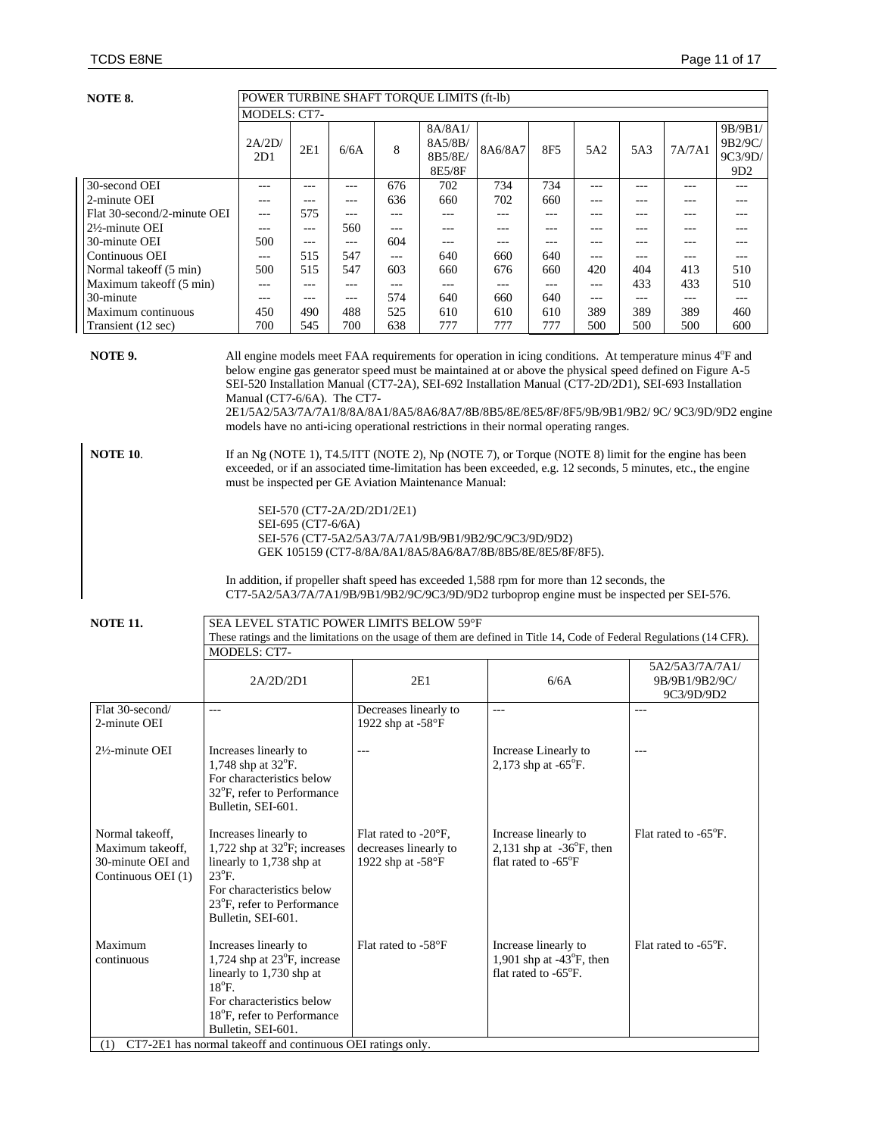| NOTE 8.                     | POWER TURBINE SHAFT TOROUE LIMITS (ft-lb)                                                      |              |       |       |                                                                                                                      |         |                 |       |       |        |                    |
|-----------------------------|------------------------------------------------------------------------------------------------|--------------|-------|-------|----------------------------------------------------------------------------------------------------------------------|---------|-----------------|-------|-------|--------|--------------------|
|                             |                                                                                                | MODELS: CT7- |       |       |                                                                                                                      |         |                 |       |       |        |                    |
|                             | 2A/2D/                                                                                         | 2E1          | 6/6A  | 8     | 8A/8A1/<br>8A5/8B/                                                                                                   | 8A6/8A7 | 8F <sub>5</sub> | 5A2   | 5A3   | 7A/7A1 | 9B/9B1/<br>9B2/9C/ |
|                             | 2D1                                                                                            |              |       |       | 8B5/8E/<br>8E5/8F                                                                                                    |         |                 |       |       |        | 9C3/9D/<br>9D2     |
| 30-second OEI               | $- - -$                                                                                        | ---          | ---   | 676   | 702                                                                                                                  | 734     | 734             | $---$ | ---   | ---    | ---                |
| 2-minute OEI                |                                                                                                | ---          | ---   | 636   | 660                                                                                                                  | 702     | 660             | ---   |       | ---    | ---                |
| Flat 30-second/2-minute OEI | $---$                                                                                          | 575          | ---   |       |                                                                                                                      | ---     |                 | ---   | ---   | ---    | ---                |
| $2\frac{1}{2}$ -minute OEI  | ---                                                                                            | ---          | 560   | $---$ | ---                                                                                                                  | ---     |                 | ---   | ---   | ---    | ---                |
| 30-minute OEI               | 500                                                                                            | $---$        | $---$ | 604   | ---                                                                                                                  | ---     | ---             | $---$ | ---   | ---    | $---$              |
| Continuous OEI              | $---$                                                                                          | 515          | 547   | $---$ | 640                                                                                                                  | 660     | 640             | $---$ | ---   | ---    | $---$              |
| Normal takeoff (5 min)      | 500                                                                                            | 515          | 547   | 603   | 660                                                                                                                  | 676     | 660             | 420   | 404   | 413    | 510                |
| Maximum takeoff (5 min)     | ---                                                                                            | ---          | ---   | $ -$  | $---$                                                                                                                | ---     | $---$           | $---$ | 433   | 433    | 510                |
| 30-minute                   | ---                                                                                            | ---          | ---   | 574   | 640                                                                                                                  | 660     | 640             | $---$ | $---$ | ---    | ---                |
| Maximum continuous          | 450                                                                                            | 490          | 488   | 525   | 610                                                                                                                  | 610     | 610             | 389   | 389   | 389    | 460                |
| Transient (12 sec)          | 700                                                                                            | 545          | 700   | 638   | 777                                                                                                                  | 777     | 777             | 500   | 500   | 500    | 600                |
| NOTE 9.                     |                                                                                                |              |       |       | All engine models meet FAA requirements for operation in icing conditions. At temperature minus 4 <sup>o</sup> F and |         |                 |       |       |        |                    |
|                             |                                                                                                |              |       |       | below engine gas generator speed must be maintained at or above the physical speed defined on Figure A-5             |         |                 |       |       |        |                    |
|                             |                                                                                                |              |       |       | SEI-520 Installation Manual (CT7-2A), SEI-692 Installation Manual (CT7-2D/2D1), SEI-693 Installation                 |         |                 |       |       |        |                    |
|                             | Manual (CT7-6/6A). The CT7-                                                                    |              |       |       |                                                                                                                      |         |                 |       |       |        |                    |
|                             | 2E1/5A2/5A3/7A/7A1/8/8A/8A1/8A5/8A6/8A7/8B/8B5/8E/8E5/8F/8F5/9B/9B1/9B2/ 9C/ 9C3/9D/9D2 engine |              |       |       |                                                                                                                      |         |                 |       |       |        |                    |
|                             |                                                                                                |              |       |       | models have no anti-icing operational restrictions in their normal operating ranges.                                 |         |                 |       |       |        |                    |

**NOTE 10.** If an Ng (NOTE 1), T4.5/ITT (NOTE 2), Np (NOTE 7), or Torque (NOTE 8) limit for the engine has been exceeded, or if an associated time-limitation has been exceeded, e.g. 12 seconds, 5 minutes, etc., the engine must be inspected per GE Aviation Maintenance Manual:

> SEI-570 (CT7-2A/2D/2D1/2E1) SEI-695 (CT7-6/6A) SEI-576 (CT7-5A2/5A3/7A/7A1/9B/9B1/9B2/9C/9C3/9D/9D2) GEK 105159 (CT7-8/8A/8A1/8A5/8A6/8A7/8B/8B5/8E/8E5/8F/8F5).

In addition, if propeller shaft speed has exceeded 1,588 rpm for more than 12 seconds, the CT7-5A2/5A3/7A/7A1/9B/9B1/9B2/9C/9C3/9D/9D2 turboprop engine must be inspected per SEI-576.

**NOTE 11.** SEA LEVEL STATIC POWER LIMITS BELOW 59°F

|                                                                                |                                                                                                                                                                                                                                                                            |                                                                             | These ratings and the limitations on the usage of them are defined in Title 14, Code of Federal Regulations (14 CFR). |                                                 |
|--------------------------------------------------------------------------------|----------------------------------------------------------------------------------------------------------------------------------------------------------------------------------------------------------------------------------------------------------------------------|-----------------------------------------------------------------------------|-----------------------------------------------------------------------------------------------------------------------|-------------------------------------------------|
|                                                                                | MODELS: CT7-                                                                                                                                                                                                                                                               |                                                                             |                                                                                                                       |                                                 |
|                                                                                | 2A/2D/2D1                                                                                                                                                                                                                                                                  | 2E1                                                                         | 6/6A                                                                                                                  | 5A2/5A3/7A/7A1/<br>9B/9B1/9B2/9C/<br>9C3/9D/9D2 |
| Flat 30-second/<br>2-minute OEI                                                | ---                                                                                                                                                                                                                                                                        | Decreases linearly to<br>1922 shp at $-58^{\circ}$ F                        | $---$                                                                                                                 |                                                 |
| $2\frac{1}{2}$ -minute OEI                                                     | Increases linearly to<br>1,748 shp at $32^{\circ}$ F.<br>For characteristics below<br>$32^{\circ}$ F, refer to Performance<br>Bulletin, SEI-601.                                                                                                                           | ---                                                                         | Increase Linearly to<br>2,173 shp at $-65^{\circ}$ F.                                                                 | $---$                                           |
| Normal takeoff,<br>Maximum takeoff.<br>30-minute OEI and<br>Continuous OEI (1) | Increases linearly to<br>1,722 shp at $32^{\circ}$ F; increases<br>linearly to 1,738 shp at<br>$23^{\circ}$ F.<br>For characteristics below<br>23 <sup>o</sup> F, refer to Performance<br>Bulletin, SEI-601.                                                               | Flat rated to -20°F,<br>decreases linearly to<br>1922 shp at $-58^{\circ}F$ | Increase linearly to<br>2,131 shp at $-36^{\circ}$ F, then<br>flat rated to $-65^{\circ}F$                            | Flat rated to -65°F.                            |
| Maximum<br>continuous<br>(1)                                                   | Increases linearly to<br>1,724 shp at $23^{\circ}$ F, increase<br>linearly to 1,730 shp at<br>$18^{\circ}$ F.<br>For characteristics below<br>18 <sup>°</sup> F, refer to Performance<br>Bulletin, SEI-601.<br>CT7-2E1 has normal takeoff and continuous OEI ratings only. | Flat rated to -58°F                                                         | Increase linearly to<br>1,901 shp at $-43^{\circ}$ F, then<br>flat rated to -65°F.                                    | Flat rated to -65°F.                            |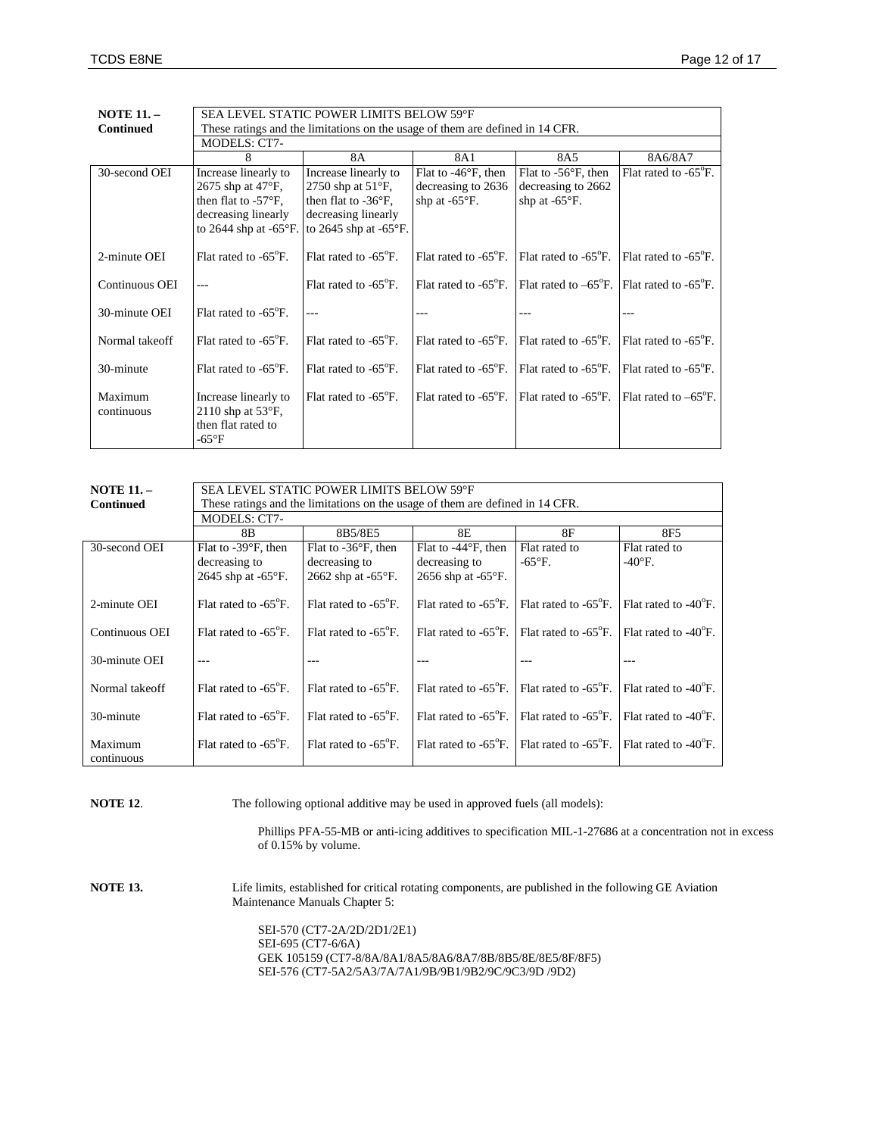| <b>NOTE 11. -</b>     | <b>SEA LEVEL STATIC POWER LIMITS BELOW 59°F</b>                                    |                                   |                                |                                   |                                   |
|-----------------------|------------------------------------------------------------------------------------|-----------------------------------|--------------------------------|-----------------------------------|-----------------------------------|
| <b>Continued</b>      | These ratings and the limitations on the usage of them are defined in 14 CFR.      |                                   |                                |                                   |                                   |
|                       | <b>MODELS: CT7-</b>                                                                |                                   |                                |                                   |                                   |
|                       | 8                                                                                  | 8A                                | 8A1                            | 8A5                               | 8A6/8A7                           |
| 30-second OEI         | Increase linearly to                                                               | Increase linearly to              | Flat to $-46^{\circ}$ F, then  | Flat to $-56^{\circ}$ F, then     | Flat rated to $-65^{\circ}$ F.    |
|                       | $2675$ shp at $47^{\circ}$ F,                                                      | 2750 shp at $51^{\circ}$ F,       | decreasing to 2636             | decreasing to 2662                |                                   |
|                       | then flat to $-57^{\circ}F$ ,                                                      | then flat to $-36^{\circ}$ F,     | shp at $-65^{\circ}$ F.        | shp at $-65^{\circ}$ F.           |                                   |
|                       | decreasing linearly                                                                | decreasing linearly               |                                |                                   |                                   |
|                       | to 2644 shp at $-65^{\circ}$ F.                                                    | to 2645 shp at $-65^{\circ}$ F.   |                                |                                   |                                   |
| 2-minute OEI          | Flat rated to $-65^{\circ}$ F.                                                     | Flat rated to -65 <sup>°</sup> F. | Flat rated to $-65^{\circ}$ F. | Flat rated to -65 <sup>o</sup> F. | Flat rated to -65 <sup>°</sup> F. |
| Continuous OEI        |                                                                                    | Flat rated to -65°F.              | Flat rated to $-65^{\circ}$ F. | Flat rated to $-65^{\circ}$ F.    | Flat rated to $-65^{\circ}$ F.    |
| 30-minute OEI         | Flat rated to $-65^{\circ}$ F.                                                     |                                   |                                |                                   |                                   |
| Normal takeoff        | Flat rated to $-65^{\circ}$ F.                                                     | Flat rated to -65 <sup>°</sup> F. | Flat rated to $-65^{\circ}$ F. | Flat rated to -65 <sup>o</sup> F. | Flat rated to $-65^{\circ}$ F.    |
| 30-minute             | Flat rated to $-65^{\circ}$ F.                                                     | Flat rated to -65 <sup>°</sup> F. | Flat rated to $-65^{\circ}$ F. | Flat rated to -65 <sup>o</sup> F. | Flat rated to -65 <sup>°</sup> F. |
| Maximum<br>continuous | Increase linearly to<br>2110 shp at $53^{\circ}F$ ,<br>then flat rated to<br>-65°F | Flat rated to -65 <sup>°</sup> F. | Flat rated to $-65^{\circ}$ F. | Flat rated to -65 <sup>o</sup> F. | Flat rated to $-65^{\circ}$ F.    |

| <b>NOTE 11. -</b><br><b>Continued</b> | SEA LEVEL STATIC POWER LIMITS BELOW 59°F<br>These ratings and the limitations on the usage of them are defined in 14 CFR. |                                |                                |                                |                                |
|---------------------------------------|---------------------------------------------------------------------------------------------------------------------------|--------------------------------|--------------------------------|--------------------------------|--------------------------------|
|                                       | <b>MODELS: CT7-</b>                                                                                                       |                                |                                |                                |                                |
|                                       | 8B                                                                                                                        | 8B5/8E5                        | 8E                             | 8F                             | 8F5                            |
| 30-second OEI                         | Flat to $-39^{\circ}$ F, then                                                                                             | Flat to $-36^{\circ}$ F, then  | Flat to $-44^{\circ}$ F, then  | Flat rated to                  | Flat rated to                  |
|                                       | decreasing to                                                                                                             | decreasing to                  | decreasing to                  | $-65^{\circ}$ F.               | $-40^{\circ}$ F.               |
|                                       | 2645 shp at $-65^{\circ}$ F.                                                                                              | 2662 shp at $-65^{\circ}$ F.   | 2656 shp at $-65^{\circ}$ F.   |                                |                                |
| 2-minute OEI                          | Flat rated to $-65^{\circ}$ F.                                                                                            | Flat rated to $-65^{\circ}$ F. | Flat rated to $-65^{\circ}$ F. | Flat rated to $-65^{\circ}$ F. | Flat rated to $-40^{\circ}$ F. |
| Continuous OEI                        | Flat rated to $-65^{\circ}$ F.                                                                                            | Flat rated to $-65^{\circ}$ F. | Flat rated to $-65^{\circ}$ F. | Flat rated to $-65^{\circ}$ F. | Flat rated to $-40^{\circ}$ F. |
| 30-minute OEI                         |                                                                                                                           |                                |                                |                                |                                |
| Normal takeoff                        | Flat rated to $-65^{\circ}$ F.                                                                                            | Flat rated to $-65^{\circ}$ F. | Flat rated to $-65^{\circ}$ F. | Flat rated to $-65^{\circ}$ F. | Flat rated to $-40^{\circ}$ F. |
| 30-minute                             | Flat rated to $-65^{\circ}$ F.                                                                                            | Flat rated to $-65^{\circ}$ F. | Flat rated to $-65^{\circ}$ F. | Flat rated to $-65^{\circ}$ F. | Flat rated to $-40^{\circ}$ F. |
| Maximum<br>continuous                 | Flat rated to $-65^{\circ}$ F.                                                                                            | Flat rated to $-65^{\circ}$ F. | Flat rated to $-65^{\circ}$ F. | Flat rated to $-65^{\circ}$ F. | Flat rated to $-40^{\circ}$ F. |

**NOTE 12.** The following optional additive may be used in approved fuels (all models):

Phillips PFA-55-MB or anti-icing additives to specification MIL-1-27686 at a concentration not in excess of 0.15% by volume.

**NOTE 13.** Life limits, established for critical rotating components, are published in the following GE Aviation Maintenance Manuals Chapter 5:

> SEI-570 (CT7-2A/2D/2D1/2E1) SEI-695 (CT7-6/6A) GEK 105159 (CT7-8/8A/8A1/8A5/8A6/8A7/8B/8B5/8E/8E5/8F/8F5) SEI-576 (CT7-5A2/5A3/7A/7A1/9B/9B1/9B2/9C/9C3/9D /9D2)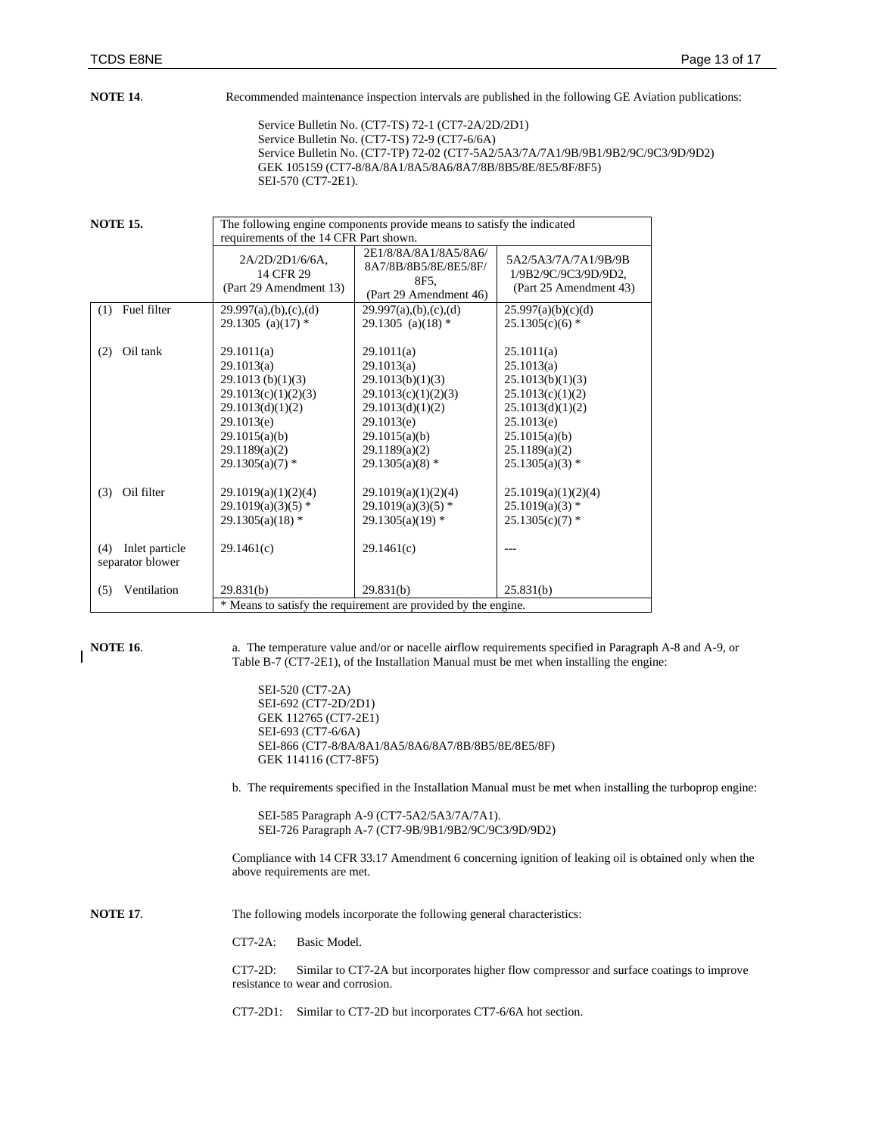**NOTE 14.** Recommended maintenance inspection intervals are published in the following GE Aviation publications:

Service Bulletin No. (CT7-TS) 72-1 (CT7-2A/2D/2D1) Service Bulletin No. (CT7-TS) 72-9 (CT7-6/6A) Service Bulletin No. (CT7-TP) 72-02 (CT7-5A2/5A3/7A/7A1/9B/9B1/9B2/9C/9C3/9D/9D2) GEK 105159 (CT7-8/8A/8A1/8A5/8A6/8A7/8B/8B5/8E/8E5/8F/8F5) SEI-570 (CT7-2E1).

**NOTE 15.** The following engine components provide means to satisfy the indicated

|                                           | how the vaging components provide means to sams ;<br>requirements of the 14 CFR Part shown.                                                                  |                                                                                                                                                              |                                                                                                                                                           |  |
|-------------------------------------------|--------------------------------------------------------------------------------------------------------------------------------------------------------------|--------------------------------------------------------------------------------------------------------------------------------------------------------------|-----------------------------------------------------------------------------------------------------------------------------------------------------------|--|
|                                           | 2A/2D/2D1/6/6A,<br>14 CFR 29<br>(Part 29 Amendment 13)                                                                                                       | 2E1/8/8A/8A1/8A5/8A6/<br>8A7/8B/8B5/8E/8E5/8F/<br>8F5.<br>(Part 29 Amendment 46)                                                                             | 5A2/5A3/7A/7A1/9B/9B<br>1/9B2/9C/9C3/9D/9D2,<br>(Part 25 Amendment 43)                                                                                    |  |
| Fuel filter<br>(1)                        | 29.997(a),(b),(c),(d)<br>29.1305 (a)(17) $*$                                                                                                                 | 29.997(a),(b),(c),(d)<br>29.1305 (a)(18) $*$                                                                                                                 | 25.997(a)(b)(c)(d)<br>$25.1305(c)(6)$ *                                                                                                                   |  |
| Oil tank<br>(2)                           | 29.1011(a)<br>29.1013(a)<br>29.1013(b)(1)(3)<br>29.1013(c)(1)(2)(3)<br>29.1013(d)(1)(2)<br>29.1013(e)<br>29.1015(a)(b)<br>29.1189(a)(2)<br>$29.1305(a)(7)$ * | 29.1011(a)<br>29.1013(a)<br>29.1013(b)(1)(3)<br>29.1013(c)(1)(2)(3)<br>29.1013(d)(1)(2)<br>29.1013(e)<br>29.1015(a)(b)<br>29.1189(a)(2)<br>$29.1305(a)(8)$ * | 25.1011(a)<br>25.1013(a)<br>25.1013(b)(1)(3)<br>25.1013(c)(1)(2)<br>25.1013(d)(1)(2)<br>25.1013(e)<br>25.1015(a)(b)<br>25.1189(a)(2)<br>$25.1305(a)(3)$ * |  |
| Oil filter<br>(3)                         | 29.1019(a)(1)(2)(4)<br>$29.1019(a)(3)(5)$ *<br>$29.1305(a)(18)$ *                                                                                            | 29.1019(a)(1)(2)(4)<br>$29.1019(a)(3)(5)$ *<br>$29.1305(a)(19)$ *                                                                                            | 25.1019(a)(1)(2)(4)<br>$25.1019(a)(3)$ *<br>$25.1305(c)(7)$ *                                                                                             |  |
| Inlet particle<br>(4)<br>separator blower | 29.1461(c)                                                                                                                                                   | 29.1461(c)                                                                                                                                                   |                                                                                                                                                           |  |
| Ventilation<br>(5)                        | 29.831(b)                                                                                                                                                    | 29.831(b)                                                                                                                                                    | 25.831(b)                                                                                                                                                 |  |
|                                           |                                                                                                                                                              | * Means to satisfy the requirement are provided by the engine.                                                                                               |                                                                                                                                                           |  |

**NOTE 16.** a. The temperature value and/or or nacelle airflow requirements specified in Paragraph A-8 and A-9, or Table B-7 (CT7-2E1), of the Installation Manual must be met when installing the engine:

> SEI-520 (CT7-2A) SEI-692 (CT7-2D/2D1) GEK 112765 (CT7-2E1) SEI-693 (CT7-6/6A) SEI-866 (CT7-8/8A/8A1/8A5/8A6/8A7/8B/8B5/8E/8E5/8F) GEK 114116 (CT7-8F5)

b. The requirements specified in the Installation Manual must be met when installing the turboprop engine:

SEI-585 Paragraph A-9 (CT7-5A2/5A3/7A/7A1). SEI-726 Paragraph A-7 (CT7-9B/9B1/9B2/9C/9C3/9D/9D2)

Compliance with 14 CFR 33.17 Amendment 6 concerning ignition of leaking oil is obtained only when the above requirements are met.

**NOTE 17.** The following models incorporate the following general characteristics:

CT7-2A: Basic Model.

CT7-2D: Similar to CT7-2A but incorporates higher flow compressor and surface coatings to improve resistance to wear and corrosion.

CT7-2D1: Similar to CT7-2D but incorporates CT7-6/6A hot section.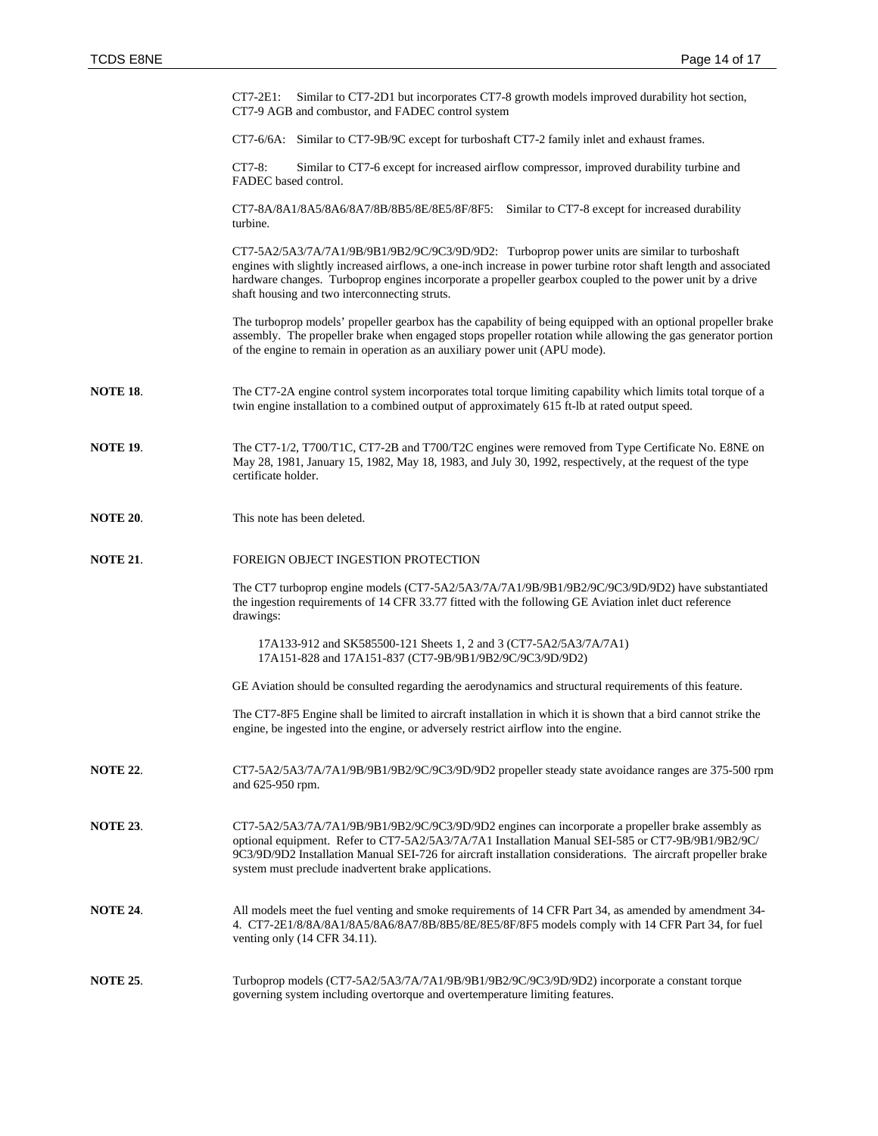|                 | Similar to CT7-2D1 but incorporates CT7-8 growth models improved durability hot section,<br>$CT7-2E1$ :<br>CT7-9 AGB and combustor, and FADEC control system                                                                                                                                                                                                                    |
|-----------------|---------------------------------------------------------------------------------------------------------------------------------------------------------------------------------------------------------------------------------------------------------------------------------------------------------------------------------------------------------------------------------|
|                 | CT7-6/6A: Similar to CT7-9B/9C except for turboshaft CT7-2 family inlet and exhaust frames.                                                                                                                                                                                                                                                                                     |
|                 | CT7-8:<br>Similar to CT7-6 except for increased airflow compressor, improved durability turbine and<br>FADEC based control.                                                                                                                                                                                                                                                     |
|                 | CT7-8A/8A1/8A5/8A6/8A7/8B/8B5/8E/8E5/8F/8F5: Similar to CT7-8 except for increased durability<br>turbine.                                                                                                                                                                                                                                                                       |
|                 | CT7-5A2/5A3/7A/7A1/9B/9B1/9B2/9C/9C3/9D/9D2: Turboprop power units are similar to turboshaft<br>engines with slightly increased airflows, a one-inch increase in power turbine rotor shaft length and associated<br>hardware changes. Turboprop engines incorporate a propeller gearbox coupled to the power unit by a drive<br>shaft housing and two interconnecting struts.   |
|                 | The turboprop models' propeller gearbox has the capability of being equipped with an optional propeller brake<br>assembly. The propeller brake when engaged stops propeller rotation while allowing the gas generator portion<br>of the engine to remain in operation as an auxiliary power unit (APU mode).                                                                    |
| <b>NOTE 18.</b> | The CT7-2A engine control system incorporates total torque limiting capability which limits total torque of a<br>twin engine installation to a combined output of approximately 615 ft-lb at rated output speed.                                                                                                                                                                |
| <b>NOTE 19.</b> | The CT7-1/2, T700/T1C, CT7-2B and T700/T2C engines were removed from Type Certificate No. E8NE on<br>May 28, 1981, January 15, 1982, May 18, 1983, and July 30, 1992, respectively, at the request of the type<br>certificate holder.                                                                                                                                           |
| <b>NOTE 20.</b> | This note has been deleted.                                                                                                                                                                                                                                                                                                                                                     |
| <b>NOTE 21.</b> | FOREIGN OBJECT INGESTION PROTECTION                                                                                                                                                                                                                                                                                                                                             |
|                 | The CT7 turboprop engine models (CT7-5A2/5A3/7A/7A1/9B/9B1/9B2/9C/9C3/9D/9D2) have substantiated<br>the ingestion requirements of 14 CFR 33.77 fitted with the following GE Aviation inlet duct reference<br>drawings:                                                                                                                                                          |
|                 | 17A133-912 and SK585500-121 Sheets 1, 2 and 3 (CT7-5A2/5A3/7A/7A1)<br>17A151-828 and 17A151-837 (CT7-9B/9B1/9B2/9C/9C3/9D/9D2)                                                                                                                                                                                                                                                  |
|                 | GE Aviation should be consulted regarding the aerodynamics and structural requirements of this feature.                                                                                                                                                                                                                                                                         |
|                 | The CT7-8F5 Engine shall be limited to aircraft installation in which it is shown that a bird cannot strike the<br>engine, be ingested into the engine, or adversely restrict airflow into the engine.                                                                                                                                                                          |
| <b>NOTE 22.</b> | CT7-5A2/5A3/7A/7A1/9B/9B1/9B2/9C/9C3/9D/9D2 propeller steady state avoidance ranges are 375-500 rpm<br>and 625-950 rpm.                                                                                                                                                                                                                                                         |
| <b>NOTE 23.</b> | CT7-5A2/5A3/7A/7A1/9B/9B1/9B2/9C/9C3/9D/9D2 engines can incorporate a propeller brake assembly as<br>optional equipment. Refer to CT7-5A2/5A3/7A/7A1 Installation Manual SEI-585 or CT7-9B/9B1/9B2/9C/<br>9C3/9D/9D2 Installation Manual SEI-726 for aircraft installation considerations. The aircraft propeller brake<br>system must preclude inadvertent brake applications. |
| <b>NOTE 24.</b> | All models meet the fuel venting and smoke requirements of 14 CFR Part 34, as amended by amendment 34-<br>4. CT7-2E1/8/8A/8A1/8A5/8A6/8A7/8B/8B5/8E/8E5/8F/8F5 models comply with 14 CFR Part 34, for fuel<br>venting only (14 CFR 34.11).                                                                                                                                      |
| <b>NOTE 25.</b> | Turboprop models (CT7-5A2/5A3/7A/7A1/9B/9B1/9B2/9C/9C3/9D/9D2) incorporate a constant torque<br>governing system including overtorque and overtemperature limiting features.                                                                                                                                                                                                    |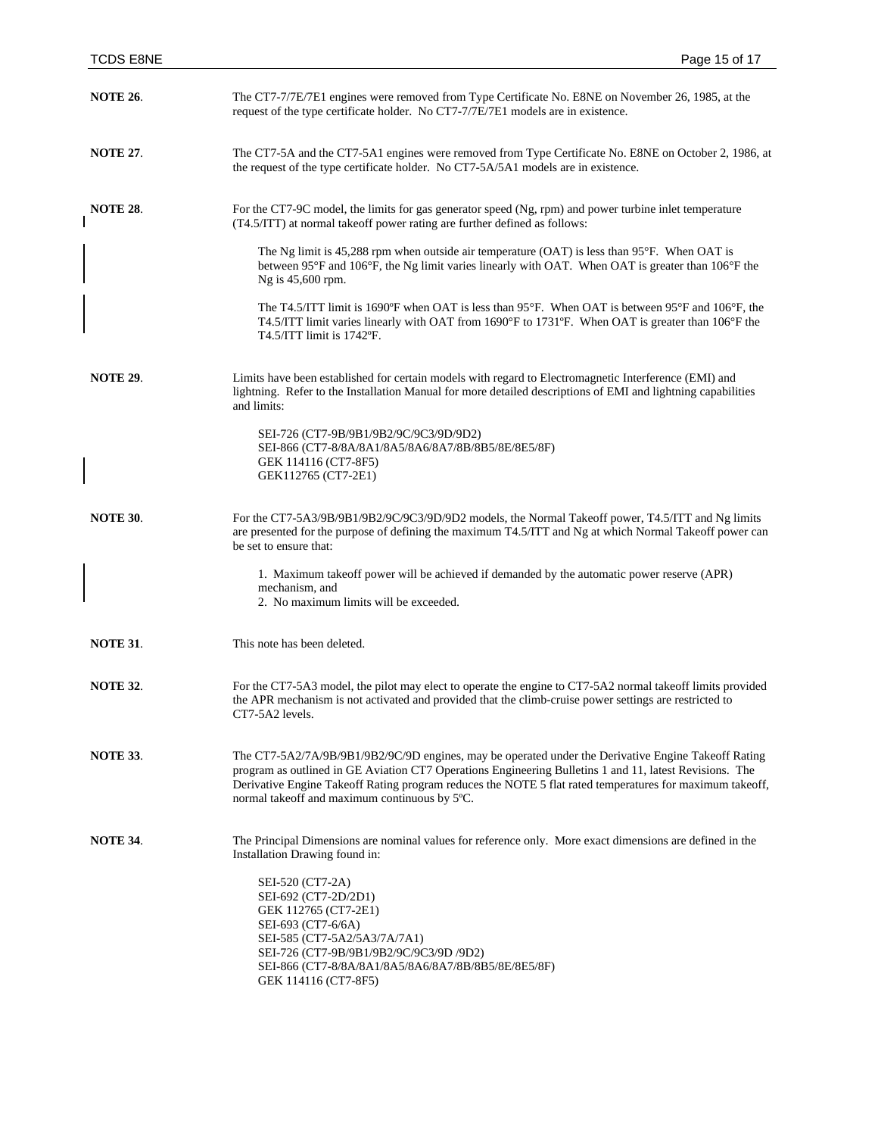| <b>NOTE 26.</b> | The CT7-7/7E/7E1 engines were removed from Type Certificate No. E8NE on November 26, 1985, at the<br>request of the type certificate holder. No CT7-7/7E/7E1 models are in existence.                                                                                                                                                                                       |
|-----------------|-----------------------------------------------------------------------------------------------------------------------------------------------------------------------------------------------------------------------------------------------------------------------------------------------------------------------------------------------------------------------------|
| <b>NOTE 27.</b> | The CT7-5A and the CT7-5A1 engines were removed from Type Certificate No. E8NE on October 2, 1986, at<br>the request of the type certificate holder. No CT7-5A/5A1 models are in existence.                                                                                                                                                                                 |
| <b>NOTE 28.</b> | For the CT7-9C model, the limits for gas generator speed (Ng, rpm) and power turbine inlet temperature<br>(T4.5/ITT) at normal takeoff power rating are further defined as follows:                                                                                                                                                                                         |
|                 | The Ng limit is 45,288 rpm when outside air temperature (OAT) is less than $95^{\circ}$ F. When OAT is<br>between 95°F and 106°F, the Ng limit varies linearly with OAT. When OAT is greater than 106°F the<br>Ng is 45,600 rpm.                                                                                                                                            |
|                 | The T4.5/ITT limit is 1690°F when OAT is less than 95°F. When OAT is between 95°F and 106°F, the<br>T4.5/ITT limit varies linearly with OAT from 1690°F to 1731°F. When OAT is greater than 106°F the<br>T4.5/ITT limit is 1742°F.                                                                                                                                          |
| <b>NOTE 29.</b> | Limits have been established for certain models with regard to Electromagnetic Interference (EMI) and<br>lightning. Refer to the Installation Manual for more detailed descriptions of EMI and lightning capabilities<br>and limits:                                                                                                                                        |
|                 | SEI-726 (CT7-9B/9B1/9B2/9C/9C3/9D/9D2)<br>SEI-866 (CT7-8/8A/8A1/8A5/8A6/8A7/8B/8B5/8E/8E5/8F)<br>GEK 114116 (CT7-8F5)<br>GEK112765 (CT7-2E1)                                                                                                                                                                                                                                |
| <b>NOTE 30.</b> | For the CT7-5A3/9B/9B1/9B2/9C/9C3/9D/9D2 models, the Normal Takeoff power, T4.5/ITT and Ng limits<br>are presented for the purpose of defining the maximum T4.5/ITT and Ng at which Normal Takeoff power can<br>be set to ensure that:                                                                                                                                      |
|                 | 1. Maximum takeoff power will be achieved if demanded by the automatic power reserve (APR)<br>mechanism, and<br>2. No maximum limits will be exceeded.                                                                                                                                                                                                                      |
| <b>NOTE 31.</b> | This note has been deleted.                                                                                                                                                                                                                                                                                                                                                 |
| <b>NOTE 32.</b> | For the CT7-5A3 model, the pilot may elect to operate the engine to CT7-5A2 normal takeoff limits provided<br>the APR mechanism is not activated and provided that the climb-cruise power settings are restricted to<br>CT7-5A2 levels.                                                                                                                                     |
| <b>NOTE 33.</b> | The CT7-5A2/7A/9B/9B1/9B2/9C/9D engines, may be operated under the Derivative Engine Takeoff Rating<br>program as outlined in GE Aviation CT7 Operations Engineering Bulletins 1 and 11, latest Revisions. The<br>Derivative Engine Takeoff Rating program reduces the NOTE 5 flat rated temperatures for maximum takeoff,<br>normal takeoff and maximum continuous by 5°C. |
| <b>NOTE 34.</b> | The Principal Dimensions are nominal values for reference only. More exact dimensions are defined in the<br>Installation Drawing found in:<br>SEI-520 (CT7-2A)<br>SEI-692 (CT7-2D/2D1)<br>GEK 112765 (CT7-2E1)<br>SEI-693 (CT7-6/6A)<br>SEI-585 (CT7-5A2/5A3/7A/7A1)                                                                                                        |
|                 | SEI-726 (CT7-9B/9B1/9B2/9C/9C3/9D /9D2)<br>SEI-866 (CT7-8/8A/8A1/8A5/8A6/8A7/8B/8B5/8E/8E5/8F)<br>GEK 114116 (CT7-8F5)                                                                                                                                                                                                                                                      |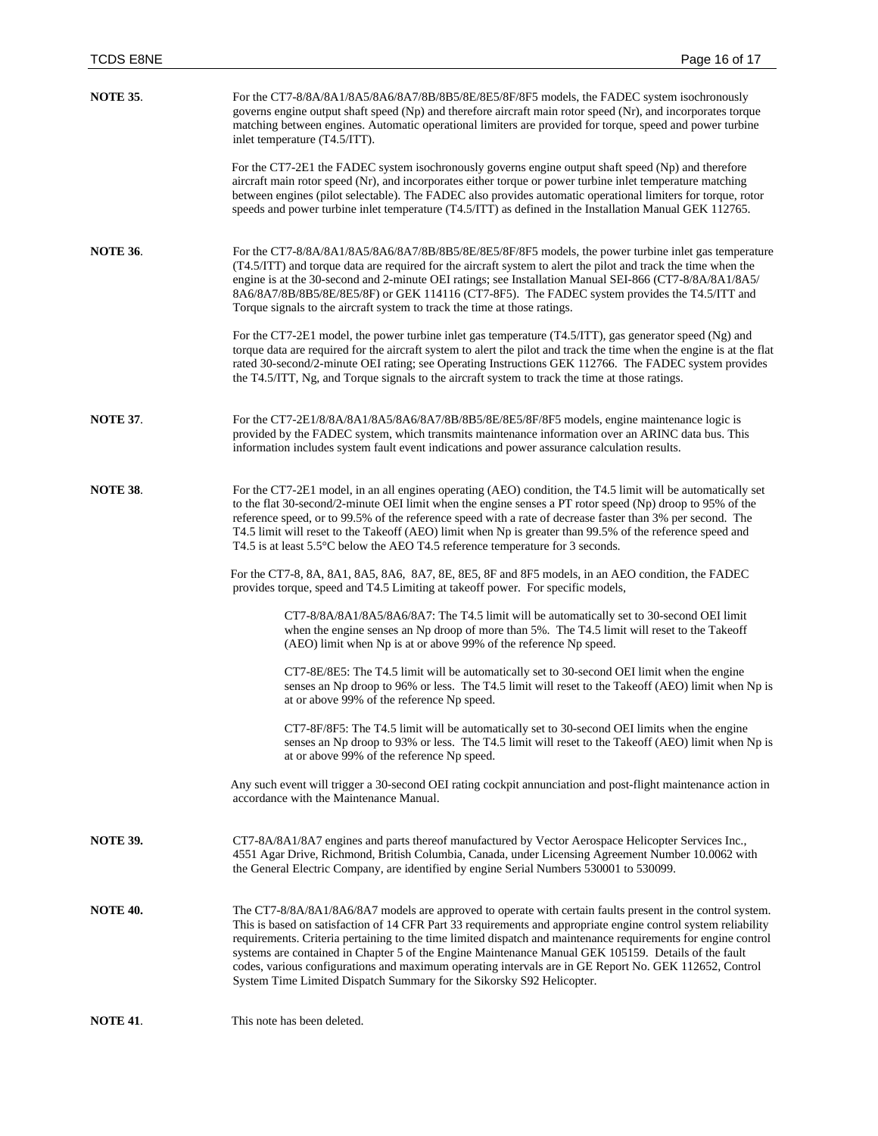| <b>NOTE 35.</b> | For the CT7-8/8A/8A1/8A5/8A6/8A7/8B/8B5/8E/8E5/8F/8F5 models, the FADEC system isochronously<br>governs engine output shaft speed (Np) and therefore aircraft main rotor speed (Nr), and incorporates torque<br>matching between engines. Automatic operational limiters are provided for torque, speed and power turbine<br>inlet temperature (T4.5/ITT).                                                                                                                                                                                                                                                                                |
|-----------------|-------------------------------------------------------------------------------------------------------------------------------------------------------------------------------------------------------------------------------------------------------------------------------------------------------------------------------------------------------------------------------------------------------------------------------------------------------------------------------------------------------------------------------------------------------------------------------------------------------------------------------------------|
|                 | For the CT7-2E1 the FADEC system isochronously governs engine output shaft speed (Np) and therefore<br>aircraft main rotor speed (Nr), and incorporates either torque or power turbine inlet temperature matching<br>between engines (pilot selectable). The FADEC also provides automatic operational limiters for torque, rotor<br>speeds and power turbine inlet temperature (T4.5/ITT) as defined in the Installation Manual GEK 112765.                                                                                                                                                                                              |
| <b>NOTE 36.</b> | For the CT7-8/8A/8A1/8A5/8A6/8A7/8B/8B5/8E/8E5/8F/8F5 models, the power turbine inlet gas temperature<br>(T4.5/ITT) and torque data are required for the aircraft system to alert the pilot and track the time when the<br>engine is at the 30-second and 2-minute OEI ratings; see Installation Manual SEI-866 (CT7-8/8A/8A1/8A5/<br>8A6/8A7/8B/8B5/8E/8E5/8F) or GEK 114116 (CT7-8F5). The FADEC system provides the T4.5/ITT and<br>Torque signals to the aircraft system to track the time at those ratings.                                                                                                                          |
|                 | For the CT7-2E1 model, the power turbine inlet gas temperature $(T4.5/TT)$ , gas generator speed $(Ng)$ and<br>torque data are required for the aircraft system to alert the pilot and track the time when the engine is at the flat<br>rated 30-second/2-minute OEI rating; see Operating Instructions GEK 112766. The FADEC system provides<br>the T4.5/ITT, Ng, and Torque signals to the aircraft system to track the time at those ratings.                                                                                                                                                                                          |
| <b>NOTE 37.</b> | For the CT7-2E1/8/8A/8A1/8A5/8A6/8A7/8B/8B5/8E/8E5/8F/8F5 models, engine maintenance logic is<br>provided by the FADEC system, which transmits maintenance information over an ARINC data bus. This<br>information includes system fault event indications and power assurance calculation results.                                                                                                                                                                                                                                                                                                                                       |
| <b>NOTE 38.</b> | For the CT7-2E1 model, in an all engines operating (AEO) condition, the T4.5 limit will be automatically set<br>to the flat 30-second/2-minute OEI limit when the engine senses a PT rotor speed (Np) droop to 95% of the<br>reference speed, or to 99.5% of the reference speed with a rate of decrease faster than 3% per second. The<br>T4.5 limit will reset to the Takeoff (AEO) limit when Np is greater than 99.5% of the reference speed and<br>T4.5 is at least 5.5 °C below the AEO T4.5 reference temperature for 3 seconds.                                                                                                   |
|                 | For the CT7-8, 8A, 8A1, 8A5, 8A6, 8A7, 8E, 8E5, 8F and 8F5 models, in an AEO condition, the FADEC<br>provides torque, speed and T4.5 Limiting at takeoff power. For specific models,                                                                                                                                                                                                                                                                                                                                                                                                                                                      |
|                 | CT7-8/8A/8A1/8A5/8A6/8A7: The T4.5 limit will be automatically set to 30-second OEI limit<br>when the engine senses an Np droop of more than 5%. The T4.5 limit will reset to the Takeoff<br>(AEO) limit when Np is at or above 99% of the reference Np speed.                                                                                                                                                                                                                                                                                                                                                                            |
|                 | CT7-8E/8E5: The T4.5 limit will be automatically set to 30-second OEI limit when the engine<br>senses an Np droop to 96% or less. The T4.5 limit will reset to the Takeoff (AEO) limit when Np is<br>at or above 99% of the reference Np speed.                                                                                                                                                                                                                                                                                                                                                                                           |
|                 | CT7-8F/8F5: The T4.5 limit will be automatically set to 30-second OEI limits when the engine<br>senses an Np droop to 93% or less. The T4.5 limit will reset to the Takeoff (AEO) limit when Np is<br>at or above 99% of the reference Np speed.                                                                                                                                                                                                                                                                                                                                                                                          |
|                 | Any such event will trigger a 30-second OEI rating cockpit annunciation and post-flight maintenance action in<br>accordance with the Maintenance Manual.                                                                                                                                                                                                                                                                                                                                                                                                                                                                                  |
| <b>NOTE 39.</b> | CT7-8A/8A1/8A7 engines and parts thereof manufactured by Vector Aerospace Helicopter Services Inc.,<br>4551 Agar Drive, Richmond, British Columbia, Canada, under Licensing Agreement Number 10.0062 with<br>the General Electric Company, are identified by engine Serial Numbers 530001 to 530099.                                                                                                                                                                                                                                                                                                                                      |
| <b>NOTE 40.</b> | The CT7-8/8A/8A1/8A6/8A7 models are approved to operate with certain faults present in the control system.<br>This is based on satisfaction of 14 CFR Part 33 requirements and appropriate engine control system reliability<br>requirements. Criteria pertaining to the time limited dispatch and maintenance requirements for engine control<br>systems are contained in Chapter 5 of the Engine Maintenance Manual GEK 105159. Details of the fault<br>codes, various configurations and maximum operating intervals are in GE Report No. GEK 112652, Control<br>System Time Limited Dispatch Summary for the Sikorsky S92 Helicopter. |
| <b>NOTE 41.</b> | This note has been deleted.                                                                                                                                                                                                                                                                                                                                                                                                                                                                                                                                                                                                               |